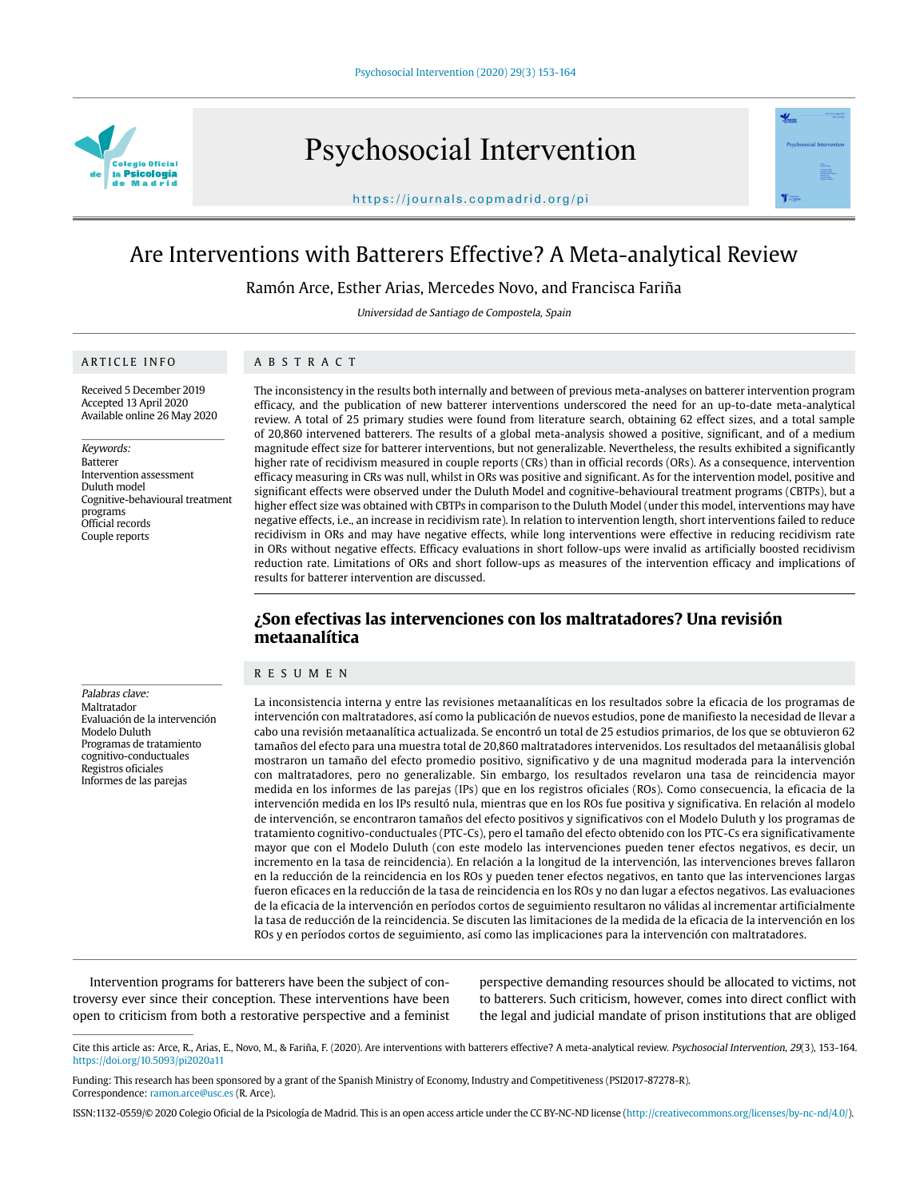

Psychosocial Intervention





Ramón Arce, Esther Arias, Mercedes Novo, and Francisca Fariña

Universidad de Santiago de Compostela, Spain

### ARTICLE INFO

Palabras clave: Maltratador

Modelo Duluth Programas de tratamiento cognitivo-conductuales Registros oficiales Informes de las parejas

Evaluación de la intervención

Received 5 December 2019 Accepted 13 April 2020 Available online 26 May 2020

Keywords: Batterer Intervention assessment Duluth model Cognitive-behavioural treatment programs Official records Couple reports

### ABSTRACT

The inconsistency in the results both internally and between of previous meta-analyses on batterer intervention program efficacy, and the publication of new batterer interventions underscored the need for an up-to-date meta-analytical review. A total of 25 primary studies were found from literature search, obtaining 62 effect sizes, and a total sample of 20,860 intervened batterers. The results of a global meta-analysis showed a positive, significant, and of a medium magnitude effect size for batterer interventions, but not generalizable. Nevertheless, the results exhibited a significantly higher rate of recidivism measured in couple reports (CRs) than in official records (ORs). As a consequence, intervention efficacy measuring in CRs was null, whilst in ORs was positive and significant. As for the intervention model, positive and significant effects were observed under the Duluth Model and cognitive-behavioural treatment programs (CBTPs), but a higher effect size was obtained with CBTPs in comparison to the Duluth Model (under this model, interventions may have negative effects, i.e., an increase in recidivism rate). In relation to intervention length, short interventions failed to reduce recidivism in ORs and may have negative effects, while long interventions were effective in reducing recidivism rate in ORs without negative effects. Efficacy evaluations in short follow-ups were invalid as artificially boosted recidivism reduction rate. Limitations of ORs and short follow-ups as measures of the intervention efficacy and implications of results for batterer intervention are discussed.

# **¿Son efectivas las intervenciones con los maltratadores? Una revisión metaanalítica**

#### RESUMEN

La inconsistencia interna y entre las revisiones metaanalíticas en los resultados sobre la eficacia de los programas de intervención con maltratadores, así como la publicación de nuevos estudios, pone de manifiesto la necesidad de llevar a cabo una revisión metaanalítica actualizada. Se encontró un total de 25 estudios primarios, de los que se obtuvieron 62 tamaños del efecto para una muestra total de 20,860 maltratadores intervenidos. Los resultados del metaanálisis global mostraron un tamaño del efecto promedio positivo, significativo y de una magnitud moderada para la intervención con maltratadores, pero no generalizable. Sin embargo, los resultados revelaron una tasa de reincidencia mayor medida en los informes de las parejas (IPs) que en los registros oficiales (ROs). Como consecuencia, la eficacia de la intervención medida en los IPs resultó nula, mientras que en los ROs fue positiva y significativa. En relación al modelo de intervención, se encontraron tamaños del efecto positivos y significativos con el Modelo Duluth y los programas de tratamiento cognitivo-conductuales (PTC-Cs), pero el tamaño del efecto obtenido con los PTC-Cs era significativamente mayor que con el Modelo Duluth (con este modelo las intervenciones pueden tener efectos negativos, es decir, un incremento en la tasa de reincidencia). En relación a la longitud de la intervención, las intervenciones breves fallaron en la reducción de la reincidencia en los ROs y pueden tener efectos negativos, en tanto que las intervenciones largas fueron eficaces en la reducción de la tasa de reincidencia en los ROs y no dan lugar a efectos negativos. Las evaluaciones de la eficacia de la intervención en períodos cortos de seguimiento resultaron no válidas al incrementar artificialmente la tasa de reducción de la reincidencia. Se discuten las limitaciones de la medida de la eficacia de la intervención en los ROs y en períodos cortos de seguimiento, así como las implicaciones para la intervención con maltratadores.

Intervention programs for batterers have been the subject of controversy ever since their conception. These interventions have been open to criticism from both a restorative perspective and a feminist

perspective demanding resources should be allocated to victims, not to batterers. Such criticism, however, comes into direct conflict with the legal and judicial mandate of prison institutions that are obliged

 $\mathcal{L}$ 

Cite this article as: Arce, R., Arias, E., Novo, M., & Fariña, F. (2020). Are interventions with batterers effective? A meta-analytical review. Psychosocial Intervention, 29(3), 153-164. https://doi.org/10.5093/pi2020a11

Funding: This research has been sponsored by a grant of the Spanish Ministry of Economy, Industry and Competitiveness (PSI2017-87278-R). Correspondence: ramon.arce@usc.es (R. Arce).

ISSN:1132-0559/© 2020 Colegio Oficial de la Psicología de Madrid. This is an open access article under the CC BY-NC-ND license (http://creativecommons.org/licenses/by-nc-nd/4.0/).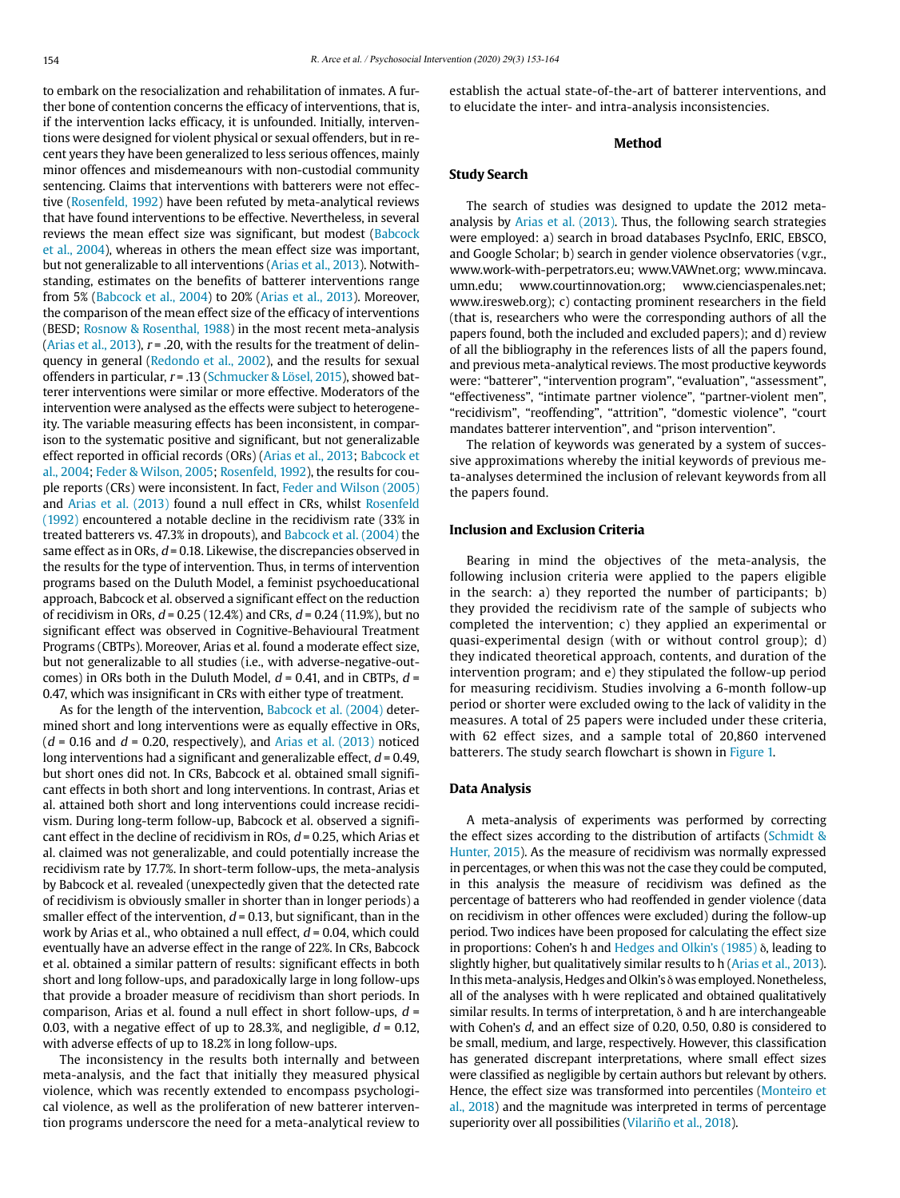to embark on the resocialization and rehabilitation of inmates. A further bone of contention concerns the efficacy of interventions, that is, if the intervention lacks efficacy, it is unfounded. Initially, interventions were designed for violent physical or sexual offenders, but in recent years they have been generalized to less serious offences, mainly minor offences and misdemeanours with non-custodial community sentencing. Claims that interventions with batterers were not effective (Rosenfeld, 1992) have been refuted by meta-analytical reviews that have found interventions to be effective. Nevertheless, in several reviews the mean effect size was significant, but modest (Babcock et al., 2004), whereas in others the mean effect size was important, but not generalizable to all interventions (Arias et al., 2013). Notwithstanding, estimates on the benefits of batterer interventions range from 5% (Babcock et al., 2004) to 20% (Arias et al., 2013). Moreover, the comparison of the mean effect size of the efficacy of interventions (BESD; Rosnow & Rosenthal, 1988) in the most recent meta-analysis (Arias et al., 2013),  $r = 0.20$ , with the results for the treatment of delinquency in general (Redondo et al., 2002), and the results for sexual offenders in particular,  $r = .13$  (Schmucker & Lösel, 2015), showed batterer interventions were similar or more effective. Moderators of the intervention were analysed as the effects were subject to heterogeneity. The variable measuring effects has been inconsistent, in comparison to the systematic positive and significant, but not generalizable effect reported in official records (ORs) (Arias et al., 2013; Babcock et al., 2004; Feder & Wilson, 2005; Rosenfeld, 1992), the results for couple reports (CRs) were inconsistent. In fact, Feder and Wilson (2005) and Arias et al. (2013) found a null effect in CRs, whilst Rosenfeld (1992) encountered a notable decline in the recidivism rate (33% in treated batterers vs. 47.3% in dropouts), and Babcock et al. (2004) the same effect as in ORs,  $d = 0.18$ . Likewise, the discrepancies observed in the results for the type of intervention. Thus, in terms of intervention programs based on the Duluth Model, a feminist psychoeducational approach, Babcock et al. observed a significant effect on the reduction of recidivism in ORs,  $d = 0.25$  (12.4%) and CRs,  $d = 0.24$  (11.9%), but no significant effect was observed in Cognitive-Behavioural Treatment Programs (CBTPs). Moreover, Arias et al. found a moderate effect size, but not generalizable to all studies (i.e., with adverse-negative-outcomes) in ORs both in the Duluth Model,  $d = 0.41$ , and in CBTPs,  $d =$ 0.47, which was insignificant in CRs with either type of treatment.

As for the length of the intervention, Babcock et al. (2004) determined short and long interventions were as equally effective in ORs,  $(d = 0.16$  and  $d = 0.20$ , respectively), and Arias et al. (2013) noticed long interventions had a significant and generalizable effect,  $d = 0.49$ , but short ones did not. In CRs, Babcock et al. obtained small significant effects in both short and long interventions. In contrast, Arias et al. attained both short and long interventions could increase recidivism. During long-term follow-up, Babcock et al. observed a significant effect in the decline of recidivism in ROs,  $d = 0.25$ , which Arias et al. claimed was not generalizable, and could potentially increase the recidivism rate by 17.7%. In short-term follow-ups, the meta-analysis by Babcock et al. revealed (unexpectedly given that the detected rate of recidivism is obviously smaller in shorter than in longer periods) a smaller effect of the intervention,  $d = 0.13$ , but significant, than in the work by Arias et al., who obtained a null effect,  $d = 0.04$ , which could eventually have an adverse effect in the range of 22%. In CRs, Babcock et al. obtained a similar pattern of results: significant effects in both short and long follow-ups, and paradoxically large in long follow-ups that provide a broader measure of recidivism than short periods. In comparison, Arias et al. found a null effect in short follow-ups,  $d =$ 0.03, with a negative effect of up to 28.3%, and negligible,  $d = 0.12$ , with adverse effects of up to 18.2% in long follow-ups.

The inconsistency in the results both internally and between meta-analysis, and the fact that initially they measured physical violence, which was recently extended to encompass psychological violence, as well as the proliferation of new batterer intervention programs underscore the need for a meta-analytical review to establish the actual state-of-the-art of batterer interventions, and to elucidate the inter- and intra-analysis inconsistencies.

### **Method**

#### **Study Search**

The search of studies was designed to update the 2012 metaanalysis by Arias et al. (2013). Thus, the following search strategies were employed: a) search in broad databases PsycInfo, ERIC, EBSCO, and Google Scholar; b) search in gender violence observatories (v.gr., [www.work-with-perpetrators.eu](http://www.work-with-perpetrators.eu); [www.VAWnet.org;](http://www.VAWnet.org) [www.mincava.](http://www.mincava.umn.edu) [umn.edu](http://www.mincava.umn.edu); [www.courtinnovation.org](http://www.courtinnovation.org); [www.cienciaspenales.net](http://www.cienciaspenales.net); [www.iresweb.org](http://www.iresweb.org)); c) contacting prominent researchers in the field (that is, researchers who were the corresponding authors of all the papers found, both the included and excluded papers); and d) review of all the bibliography in the references lists of all the papers found, and previous meta-analytical reviews. The most productive keywords were: "batterer", "intervention program", "evaluation", "assessment", "effectiveness", "intimate partner violence", "partner-violent men", "recidivism", "reoffending", "attrition", "domestic violence", "court mandates batterer intervention", and "prison intervention".

The relation of keywords was generated by a system of successive approximations whereby the initial keywords of previous meta-analyses determined the inclusion of relevant keywords from all the papers found.

#### **Inclusion and Exclusion Criteria**

Bearing in mind the objectives of the meta-analysis, the following inclusion criteria were applied to the papers eligible in the search: a) they reported the number of participants; b) they provided the recidivism rate of the sample of subjects who completed the intervention; c) they applied an experimental or quasi-experimental design (with or without control group); d) they indicated theoretical approach, contents, and duration of the intervention program; and e) they stipulated the follow-up period for measuring recidivism. Studies involving a 6-month follow-up period or shorter were excluded owing to the lack of validity in the measures. A total of 25 papers were included under these criteria, with 62 effect sizes, and a sample total of 20,860 intervened batterers. The study search flowchart is shown in Figure 1.

#### **Data Analysis**

A meta-analysis of experiments was performed by correcting the effect sizes according to the distribution of artifacts (Schmidt & Hunter, 2015). As the measure of recidivism was normally expressed in percentages, or when this was not the case they could be computed, in this analysis the measure of recidivism was defined as the percentage of batterers who had reoffended in gender violence (data on recidivism in other offences were excluded) during the follow-up period. Two indices have been proposed for calculating the effect size in proportions: Cohen's h and Hedges and Olkin's (1985) δ, leading to slightly higher, but qualitatively similar results to h (Arias et al., 2013). In this meta-analysis, Hedges and Olkin's δ was employed. Nonetheless, all of the analyses with h were replicated and obtained qualitatively similar results. In terms of interpretation, δ and h are interchangeable with Cohen's d, and an effect size of 0.20, 0.50, 0.80 is considered to be small, medium, and large, respectively. However, this classification has generated discrepant interpretations, where small effect sizes were classified as negligible by certain authors but relevant by others. Hence, the effect size was transformed into percentiles (Monteiro et al., 2018) and the magnitude was interpreted in terms of percentage superiority over all possibilities (Vilariño et al., 2018).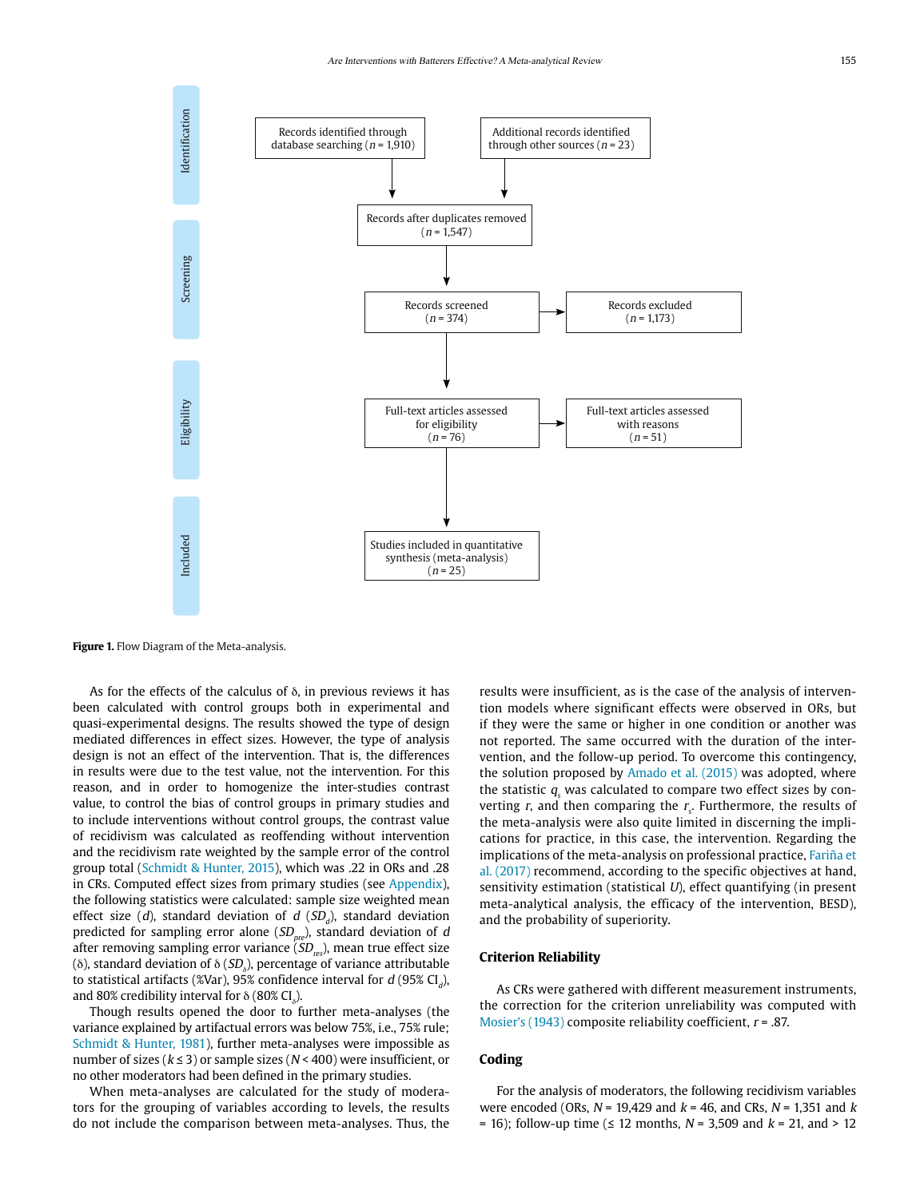

**Figure 1.** Flow Diagram of the Meta-analysis.

As for the effects of the calculus of δ, in previous reviews it has been calculated with control groups both in experimental and quasi-experimental designs. The results showed the type of design mediated differences in effect sizes. However, the type of analysis design is not an effect of the intervention. That is, the differences in results were due to the test value, not the intervention. For this reason, and in order to homogenize the inter-studies contrast value, to control the bias of control groups in primary studies and to include interventions without control groups, the contrast value of recidivism was calculated as reoffending without intervention and the recidivism rate weighted by the sample error of the control group total (Schmidt & Hunter, 2015), which was .22 in ORs and .28 in CRs. Computed effect sizes from primary studies (see Appendix), the following statistics were calculated: sample size weighted mean effect size (d), standard deviation of d (SD<sub>d</sub>), standard deviation predicted for sampling error alone  $(SD<sub>pre</sub>)$ , standard deviation of d after removing sampling error variance  $\widetilde{\left(SD_{res}\right)}$ , mean true effect size (δ), standard deviation of δ ( $SD_{\delta}$ ), percentage of variance attributable to statistical artifacts (%Var), 95% confidence interval for  $d$  (95% CI<sub>d</sub>), and 80% credibility interval for  $\delta$  (80% CI $_{_{\delta}}$ ).

Though results opened the door to further meta-analyses (the variance explained by artifactual errors was below 75%, i.e., 75% rule; Schmidt & Hunter, 1981), further meta-analyses were impossible as number of sizes ( $k \leq 3$ ) or sample sizes ( $N < 400$ ) were insufficient, or no other moderators had been defined in the primary studies.

When meta-analyses are calculated for the study of moderators for the grouping of variables according to levels, the results do not include the comparison between meta-analyses. Thus, the results were insufficient, as is the case of the analysis of intervention models where significant effects were observed in ORs, but if they were the same or higher in one condition or another was not reported. The same occurred with the duration of the intervention, and the follow-up period. To overcome this contingency, the solution proposed by Amado et al. (2015) was adopted, where the statistic  $q_{\text{s}}$  was calculated to compare two effect sizes by converting r, and then comparing the  $r<sub>s</sub>$ . Furthermore, the results of the meta-analysis were also quite limited in discerning the implications for practice, in this case, the intervention. Regarding the implications of the meta-analysis on professional practice, Fariña et al. (2017) recommend, according to the specific objectives at hand, sensitivity estimation (statistical  $U$ ), effect quantifying (in present meta-analytical analysis, the efficacy of the intervention, BESD), and the probability of superiority.

## **Criterion Reliability**

As CRs were gathered with different measurement instruments, the correction for the criterion unreliability was computed with Mosier's (1943) composite reliability coefficient,  $r = .87$ .

### **Coding**

For the analysis of moderators, the following recidivism variables were encoded (ORs,  $N = 19,429$  and  $k = 46$ , and CRs,  $N = 1,351$  and  $k$ = 16); follow-up time ( $\leq$  12 months, N = 3,509 and  $k$  = 21, and > 12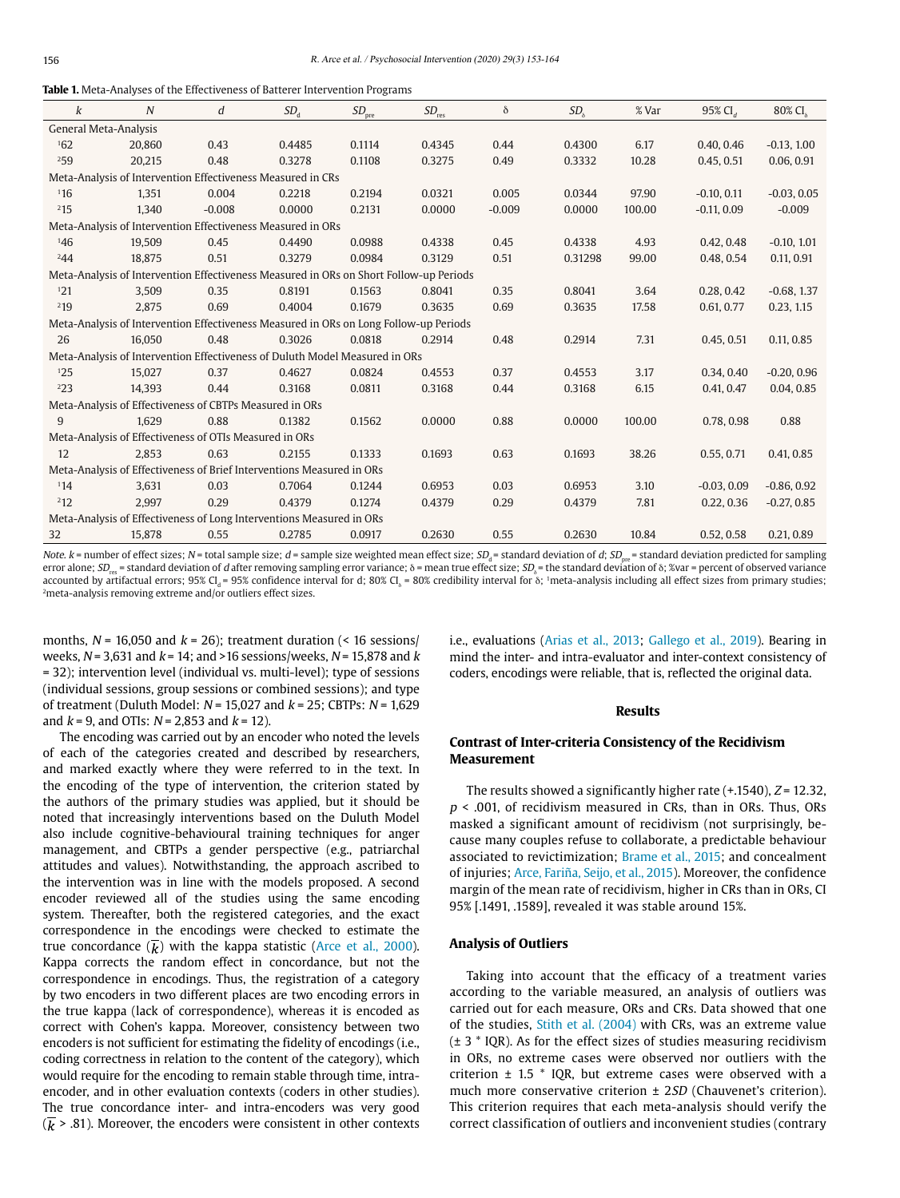|  |  |  |  |  |  |  |  | <b>Table 1.</b> Meta-Analyses of the Effectiveness of Batterer Intervention Programs |
|--|--|--|--|--|--|--|--|--------------------------------------------------------------------------------------|
|--|--|--|--|--|--|--|--|--------------------------------------------------------------------------------------|

| k                                                                     | N                                                                                      | d        | $SD_{\rm d}$ | $SD_{\mathrm{pre}}$ | $SD_{\rm res}$ | δ        | SD <sub>8</sub> | % Var  | 95% CI <sub>d</sub> | 80% CI.       |
|-----------------------------------------------------------------------|----------------------------------------------------------------------------------------|----------|--------------|---------------------|----------------|----------|-----------------|--------|---------------------|---------------|
| General Meta-Analysis                                                 |                                                                                        |          |              |                     |                |          |                 |        |                     |               |
| 162                                                                   | 20,860                                                                                 | 0.43     | 0.4485       | 0.1114              | 0.4345         | 0.44     | 0.4300          | 6.17   | 0.40, 0.46          | $-0.13, 1.00$ |
| 259                                                                   | 20.215                                                                                 | 0.48     | 0.3278       | 0.1108              | 0.3275         | 0.49     | 0.3332          | 10.28  | 0.45.0.51           | 0.06, 0.91    |
| Meta-Analysis of Intervention Effectiveness Measured in CRs           |                                                                                        |          |              |                     |                |          |                 |        |                     |               |
| 116                                                                   | 1,351                                                                                  | 0.004    | 0.2218       | 0.2194              | 0.0321         | 0.005    | 0.0344          | 97.90  | $-0.10, 0.11$       | $-0.03, 0.05$ |
| 215                                                                   | 1.340                                                                                  | $-0.008$ | 0.0000       | 0.2131              | 0.0000         | $-0.009$ | 0.0000          | 100.00 | $-0.11, 0.09$       | $-0.009$      |
| Meta-Analysis of Intervention Effectiveness Measured in ORs           |                                                                                        |          |              |                     |                |          |                 |        |                     |               |
| 146                                                                   | 19.509                                                                                 | 0.45     | 0.4490       | 0.0988              | 0.4338         | 0.45     | 0.4338          | 4.93   | 0.42, 0.48          | $-0.10, 1.01$ |
| 244                                                                   | 18.875                                                                                 | 0.51     | 0.3279       | 0.0984              | 0.3129         | 0.51     | 0.31298         | 99.00  | 0.48, 0.54          | 0.11, 0.91    |
|                                                                       | Meta-Analysis of Intervention Effectiveness Measured in ORs on Short Follow-up Periods |          |              |                     |                |          |                 |        |                     |               |
| 121                                                                   | 3.509                                                                                  | 0.35     | 0.8191       | 0.1563              | 0.8041         | 0.35     | 0.8041          | 3.64   | 0.28, 0.42          | $-0.68, 1.37$ |
| 219                                                                   | 2.875                                                                                  | 0.69     | 0.4004       | 0.1679              | 0.3635         | 0.69     | 0.3635          | 17.58  | 0.61, 0.77          | 0.23, 1.15    |
|                                                                       | Meta-Analysis of Intervention Effectiveness Measured in ORs on Long Follow-up Periods  |          |              |                     |                |          |                 |        |                     |               |
| 26                                                                    | 16.050                                                                                 | 0.48     | 0.3026       | 0.0818              | 0.2914         | 0.48     | 0.2914          | 7.31   | 0.45, 0.51          | 0.11, 0.85    |
|                                                                       | Meta-Analysis of Intervention Effectiveness of Duluth Model Measured in ORs            |          |              |                     |                |          |                 |        |                     |               |
| 125                                                                   | 15.027                                                                                 | 0.37     | 0.4627       | 0.0824              | 0.4553         | 0.37     | 0.4553          | 3.17   | 0.34, 0.40          | $-0.20, 0.96$ |
| 223                                                                   | 14.393                                                                                 | 0.44     | 0.3168       | 0.0811              | 0.3168         | 0.44     | 0.3168          | 6.15   | 0.41, 0.47          | 0.04, 0.85    |
|                                                                       | Meta-Analysis of Effectiveness of CBTPs Measured in ORs                                |          |              |                     |                |          |                 |        |                     |               |
| 9                                                                     | 1.629                                                                                  | 0.88     | 0.1382       | 0.1562              | 0.0000         | 0.88     | 0.0000          | 100.00 | 0.78, 0.98          | 0.88          |
| Meta-Analysis of Effectiveness of OTIs Measured in ORs                |                                                                                        |          |              |                     |                |          |                 |        |                     |               |
| 12                                                                    | 2.853                                                                                  | 0.63     | 0.2155       | 0.1333              | 0.1693         | 0.63     | 0.1693          | 38.26  | 0.55, 0.71          | 0.41, 0.85    |
| Meta-Analysis of Effectiveness of Brief Interventions Measured in ORs |                                                                                        |          |              |                     |                |          |                 |        |                     |               |
| 114                                                                   | 3.631                                                                                  | 0.03     | 0.7064       | 0.1244              | 0.6953         | 0.03     | 0.6953          | 3.10   | $-0.03, 0.09$       | $-0.86, 0.92$ |
| 212                                                                   | 2,997                                                                                  | 0.29     | 0.4379       | 0.1274              | 0.4379         | 0.29     | 0.4379          | 7.81   | 0.22, 0.36          | $-0.27, 0.85$ |
| Meta-Analysis of Effectiveness of Long Interventions Measured in ORs  |                                                                                        |          |              |                     |                |          |                 |        |                     |               |
| 32                                                                    | 15.878                                                                                 | 0.55     | 0.2785       | 0.0917              | 0.2630         | 0.55     | 0.2630          | 10.84  | 0.52, 0.58          | 0.21, 0.89    |

Note. k = number of effect sizes; N = total sample size; d = sample size weighted mean effect size;  $SD<sub>a</sub>$  = standard deviation of d;  $SD<sub>a</sub>$  = standard deviation predicted for sampling error alone; SD<sub>res</sub> = standard deviation of d after removing sampling error variance;  $\delta$  = mean true effect size; SD, = the standard deviation of  $\delta$ ; %var = percent of observed variance accounted by artifactual errors; 95% Cl<sub>a</sub>= 95% confidence interval for d; 80% Cl<sub>s</sub>= 80% credibility interval for 8; 1meta-analysis including all effect sizes from primary studies;<br><sup>2</sup>meta-analysis removing extreme and/or

months,  $N = 16,050$  and  $k = 26$ ); treatment duration (< 16 sessions) weeks,  $N = 3.631$  and  $k = 14$ ; and  $>16$  sessions/weeks,  $N = 15.878$  and k = 32); intervention level (individual vs. multi-level); type of sessions (individual sessions, group sessions or combined sessions); and type of treatment (Duluth Model:  $N = 15,027$  and  $k = 25$ ; CBTPs:  $N = 1,629$ and  $k = 9$ , and OTIs:  $N = 2,853$  and  $k = 12$ ).

The encoding was carried out by an encoder who noted the levels of each of the categories created and described by researchers, and marked exactly where they were referred to in the text. In the encoding of the type of intervention, the criterion stated by the authors of the primary studies was applied, but it should be noted that increasingly interventions based on the Duluth Model also include cognitive-behavioural training techniques for anger management, and CBTPs a gender perspective (e.g., patriarchal attitudes and values). Notwithstanding, the approach ascribed to the intervention was in line with the models proposed. A second encoder reviewed all of the studies using the same encoding system. Thereafter, both the registered categories, and the exact correspondence in the encodings were checked to estimate the true concordance  $\overline{k}$ ) with the kappa statistic (Arce et al., 2000). Kappa corrects the random effect in concordance, but not the correspondence in encodings. Thus, the registration of a category by two encoders in two different places are two encoding errors in the true kappa (lack of correspondence), whereas it is encoded as correct with Cohen's kappa. Moreover, consistency between two encoders is not sufficient for estimating the fidelity of encodings (i.e., coding correctness in relation to the content of the category), which would require for the encoding to remain stable through time, intraencoder, and in other evaluation contexts (coders in other studies). The true concordance inter- and intra-encoders was very good  $(\overline{k} > .81)$ . Moreover, the encoders were consistent in other contexts i.e., evaluations (Arias et al., 2013; Gallego et al., 2019). Bearing in mind the inter- and intra-evaluator and inter-context consistency of coders, encodings were reliable, that is, reflected the original data.

### **Results**

## **Contrast of Inter-criteria Consistency of the Recidivism Measurement**

The results showed a significantly higher rate  $(+.1540)$ ,  $Z = 12.32$ ,  $p$  < .001, of recidivism measured in CRs, than in ORs. Thus, ORs masked a significant amount of recidivism (not surprisingly, because many couples refuse to collaborate, a predictable behaviour associated to revictimization; Brame et al., 2015; and concealment of injuries; Arce, Fariña, Seijo, et al., 2015). Moreover, the confidence margin of the mean rate of recidivism, higher in CRs than in ORs, CI 95% [.1491, .1589], revealed it was stable around 15%.

### **Analysis of Outliers**

Taking into account that the efficacy of a treatment varies according to the variable measured, an analysis of outliers was carried out for each measure, ORs and CRs. Data showed that one of the studies, Stith et al. (2004) with CRs, was an extreme value  $(\pm 3$  \* IQR). As for the effect sizes of studies measuring recidivism in ORs, no extreme cases were observed nor outliers with the criterion  $\pm$  1.5  $\ast$  IQR, but extreme cases were observed with a much more conservative criterion ± 2SD (Chauvenet's criterion). This criterion requires that each meta-analysis should verify the correct classification of outliers and inconvenient studies (contrary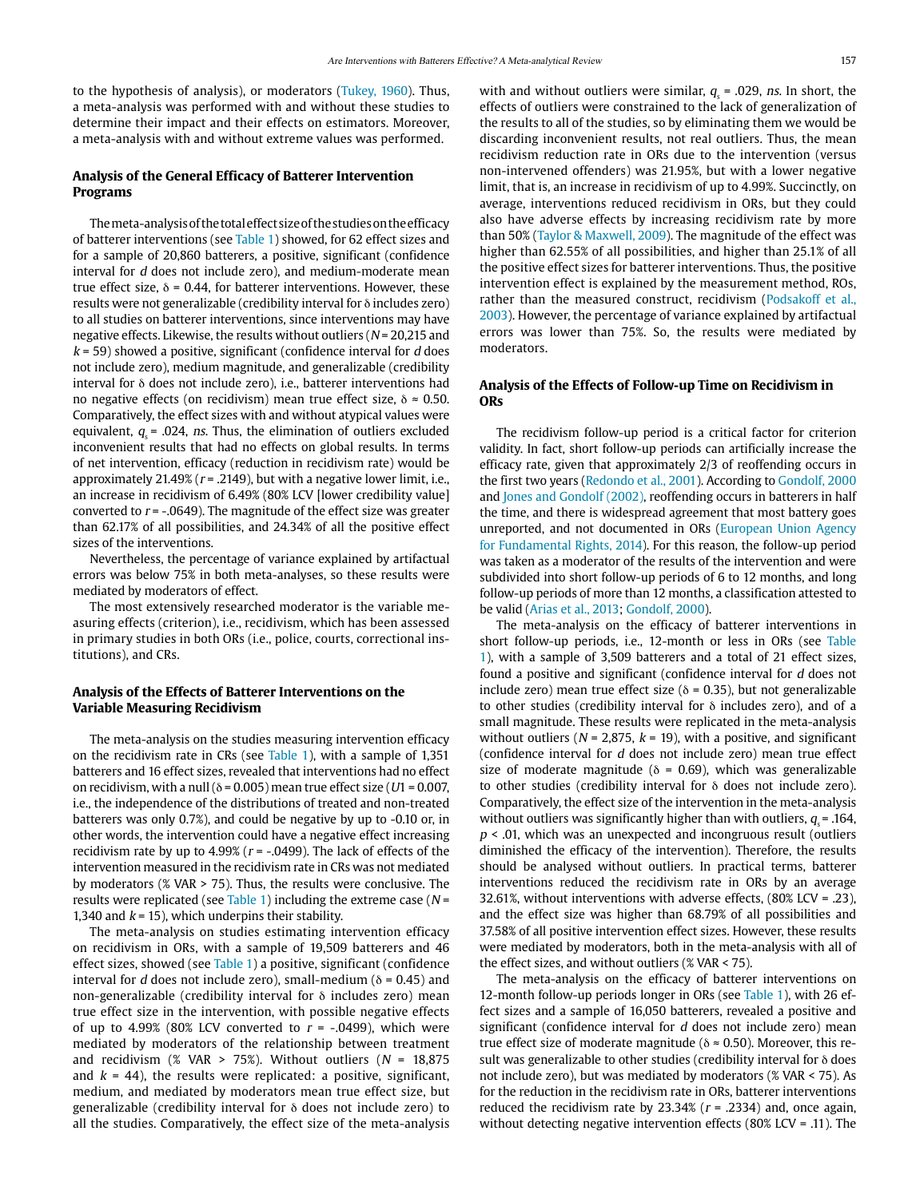to the hypothesis of analysis), or moderators (Tukey, 1960). Thus, a meta-analysis was performed with and without these studies to determine their impact and their effects on estimators. Moreover, a meta-analysis with and without extreme values was performed.

## **Analysis of the General Efficacy of Batterer Intervention Programs**

The meta-analysis of the total effect size of the studies on the efficacy of batterer interventions (see Table 1) showed, for 62 effect sizes and for a sample of 20,860 batterers, a positive, significant (confidence interval for d does not include zero), and medium-moderate mean true effect size,  $\delta$  = 0.44, for batterer interventions. However, these results were not generalizable (credibility interval for δ includes zero) to all studies on batterer interventions, since interventions may have negative effects. Likewise, the results without outliers ( $N = 20,215$  and  $k = 59$ ) showed a positive, significant (confidence interval for d does not include zero), medium magnitude, and generalizable (credibility interval for δ does not include zero), i.e., batterer interventions had no negative effects (on recidivism) mean true effect size,  $\delta \approx 0.50$ . Comparatively, the effect sizes with and without atypical values were equivalent,  $q = .024$ , ns. Thus, the elimination of outliers excluded inconvenient results that had no effects on global results. In terms of net intervention, efficacy (reduction in recidivism rate) would be approximately 21.49% ( $r = 0.2149$ ), but with a negative lower limit, i.e., an increase in recidivism of 6.49% (80% LCV [lower credibility value] converted to  $r = -0.0649$ ). The magnitude of the effect size was greater than 62.17% of all possibilities, and 24.34% of all the positive effect sizes of the interventions.

Nevertheless, the percentage of variance explained by artifactual errors was below 75% in both meta-analyses, so these results were mediated by moderators of effect.

The most extensively researched moderator is the variable measuring effects (criterion), i.e., recidivism, which has been assessed in primary studies in both ORs (i.e., police, courts, correctional institutions), and CRs.

### **Analysis of the Effects of Batterer Interventions on the Variable Measuring Recidivism**

The meta-analysis on the studies measuring intervention efficacy on the recidivism rate in CRs (see Table 1), with a sample of 1,351 batterers and 16 effect sizes, revealed that interventions had no effect on recidivism, with a null ( $\delta$  = 0.005) mean true effect size (U1 = 0.007, i.e., the independence of the distributions of treated and non-treated batterers was only 0.7%), and could be negative by up to -0.10 or, in other words, the intervention could have a negative effect increasing recidivism rate by up to 4.99% ( $r = -0.0499$ ). The lack of effects of the intervention measured in the recidivism rate in CRs was not mediated by moderators (% VAR > 75). Thus, the results were conclusive. The results were replicated (see Table 1) including the extreme case ( $N =$ 1,340 and  $k = 15$ ), which underpins their stability.

The meta-analysis on studies estimating intervention efficacy on recidivism in ORs, with a sample of 19,509 batterers and 46 effect sizes, showed (see Table 1) a positive, significant (confidence interval for d does not include zero), small-medium ( $\delta$  = 0.45) and non-generalizable (credibility interval for δ includes zero) mean true effect size in the intervention, with possible negative effects of up to 4.99% (80% LCV converted to  $r = -.0499$ ), which were mediated by moderators of the relationship between treatment and recidivism (% VAR > 75%). Without outliers ( $N = 18,875$ and  $k = 44$ ), the results were replicated: a positive, significant, medium, and mediated by moderators mean true effect size, but generalizable (credibility interval for δ does not include zero) to all the studies. Comparatively, the effect size of the meta-analysis

with and without outliers were similar,  $q_s$  = .029, ns. In short, the effects of outliers were constrained to the lack of generalization of the results to all of the studies, so by eliminating them we would be discarding inconvenient results, not real outliers. Thus, the mean recidivism reduction rate in ORs due to the intervention (versus non-intervened offenders) was 21.95%, but with a lower negative limit, that is, an increase in recidivism of up to 4.99%. Succinctly, on average, interventions reduced recidivism in ORs, but they could also have adverse effects by increasing recidivism rate by more than 50% (Taylor & Maxwell, 2009). The magnitude of the effect was higher than 62.55% of all possibilities, and higher than 25.1% of all the positive effect sizes for batterer interventions. Thus, the positive intervention effect is explained by the measurement method, ROs, rather than the measured construct, recidivism (Podsakoff et al., 2003). However, the percentage of variance explained by artifactual errors was lower than 75%. So, the results were mediated by moderators.

### **Analysis of the Effects of Follow-up Time on Recidivism in ORs**

The recidivism follow-up period is a critical factor for criterion validity. In fact, short follow-up periods can artificially increase the efficacy rate, given that approximately 2/3 of reoffending occurs in the first two years (Redondo et al., 2001). According to Gondolf, 2000 and Jones and Gondolf (2002), reoffending occurs in batterers in half the time, and there is widespread agreement that most battery goes unreported, and not documented in ORs (European Union Agency for Fundamental Rights, 2014). For this reason, the follow-up period was taken as a moderator of the results of the intervention and were subdivided into short follow-up periods of 6 to 12 months, and long follow-up periods of more than 12 months, a classification attested to be valid (Arias et al., 2013; Gondolf, 2000).

The meta-analysis on the efficacy of batterer interventions in short follow-up periods, i.e., 12-month or less in ORs (see Table 1), with a sample of 3,509 batterers and a total of 21 effect sizes, found a positive and significant (confidence interval for d does not include zero) mean true effect size ( $\delta$  = 0.35), but not generalizable to other studies (credibility interval for δ includes zero), and of a small magnitude. These results were replicated in the meta-analysis without outliers ( $N = 2,875$ ,  $k = 19$ ), with a positive, and significant (confidence interval for d does not include zero) mean true effect size of moderate magnitude ( $\delta$  = 0.69), which was generalizable to other studies (credibility interval for δ does not include zero). Comparatively, the effect size of the intervention in the meta-analysis without outliers was significantly higher than with outliers,  $q = .164$ ,  $p$  < .01, which was an unexpected and incongruous result (outliers diminished the efficacy of the intervention). Therefore, the results should be analysed without outliers. In practical terms, batterer interventions reduced the recidivism rate in ORs by an average 32.61%, without interventions with adverse effects, (80% LCV = .23), and the effect size was higher than 68.79% of all possibilities and 37.58% of all positive intervention effect sizes. However, these results were mediated by moderators, both in the meta-analysis with all of the effect sizes, and without outliers (% VAR < 75).

The meta-analysis on the efficacy of batterer interventions on 12-month follow-up periods longer in ORs (see Table 1), with 26 effect sizes and a sample of 16,050 batterers, revealed a positive and significant (confidence interval for d does not include zero) mean true effect size of moderate magnitude ( $\delta \approx 0.50$ ). Moreover, this result was generalizable to other studies (credibility interval for δ does not include zero), but was mediated by moderators (% VAR < 75). As for the reduction in the recidivism rate in ORs, batterer interventions reduced the recidivism rate by 23.34% ( $r = .2334$ ) and, once again, without detecting negative intervention effects (80% LCV = .11). The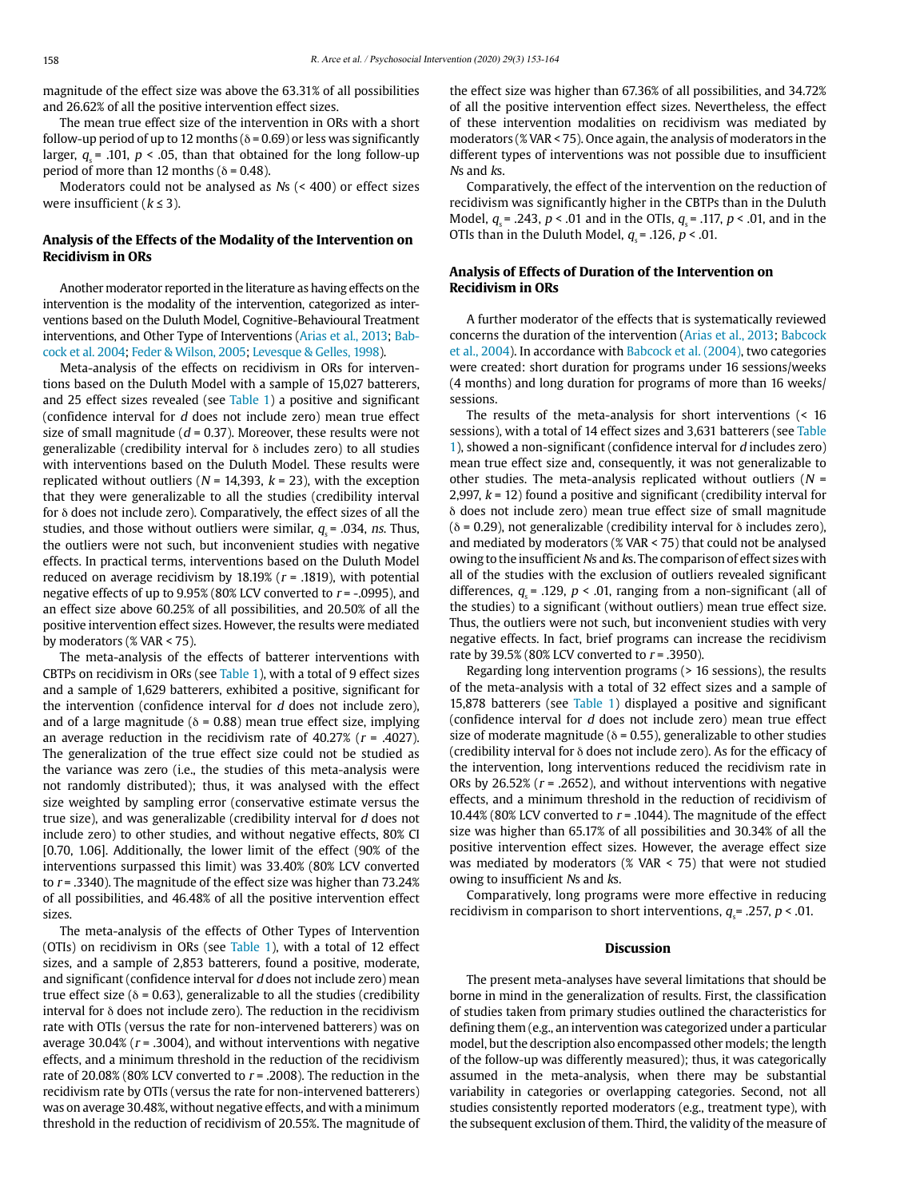magnitude of the effect size was above the 63.31% of all possibilities and 26.62% of all the positive intervention effect sizes.

The mean true effect size of the intervention in ORs with a short follow-up period of up to 12 months ( $\delta$  = 0.69) or less was significantly larger,  $q = .101$ ,  $p < .05$ , than that obtained for the long follow-up period of more than 12 months ( $\delta$  = 0.48).

Moderators could not be analysed as Ns (< 400) or effect sizes were insufficient ( $k \leq 3$ ).

## **Analysis of the Effects of the Modality of the Intervention on Recidivism in ORs**

Another moderator reported in the literature as having effects on the intervention is the modality of the intervention, categorized as interventions based on the Duluth Model, Cognitive-Behavioural Treatment interventions, and Other Type of Interventions (Arias et al., 2013; Babcock et al. 2004; Feder & Wilson, 2005; Levesque & Gelles, 1998).

Meta-analysis of the effects on recidivism in ORs for interventions based on the Duluth Model with a sample of 15,027 batterers, and 25 effect sizes revealed (see Table 1) a positive and significant (confidence interval for d does not include zero) mean true effect size of small magnitude ( $d = 0.37$ ). Moreover, these results were not generalizable (credibility interval for δ includes zero) to all studies with interventions based on the Duluth Model. These results were replicated without outliers ( $N = 14,393$ ,  $k = 23$ ), with the exception that they were generalizable to all the studies (credibility interval for δ does not include zero). Comparatively, the effect sizes of all the studies, and those without outliers were similar,  $q_s$  = .034, ns. Thus, the outliers were not such, but inconvenient studies with negative effects. In practical terms, interventions based on the Duluth Model reduced on average recidivism by  $18.19%$  ( $r = .1819$ ), with potential negative effects of up to  $9.95\%$  (80% LCV converted to  $r = -0.0995$ ), and an effect size above 60.25% of all possibilities, and 20.50% of all the positive intervention effect sizes. However, the results were mediated by moderators (% VAR < 75).

The meta-analysis of the effects of batterer interventions with CBTPs on recidivism in ORs (see Table 1), with a total of 9 effect sizes and a sample of 1,629 batterers, exhibited a positive, significant for the intervention (confidence interval for d does not include zero), and of a large magnitude ( $\delta$  = 0.88) mean true effect size, implying an average reduction in the recidivism rate of 40.27% ( $r = .4027$ ). The generalization of the true effect size could not be studied as the variance was zero (i.e., the studies of this meta-analysis were not randomly distributed); thus, it was analysed with the effect size weighted by sampling error (conservative estimate versus the true size), and was generalizable (credibility interval for d does not include zero) to other studies, and without negative effects, 80% CI [0.70, 1.06]. Additionally, the lower limit of the effect (90% of the interventions surpassed this limit) was 33.40% (80% LCV converted to  $r = .3340$ ). The magnitude of the effect size was higher than 73.24% of all possibilities, and 46.48% of all the positive intervention effect sizes.

The meta-analysis of the effects of Other Types of Intervention (OTIs) on recidivism in ORs (see Table 1), with a total of 12 effect sizes, and a sample of 2,853 batterers, found a positive, moderate, and significant (confidence interval for d does not include zero) mean true effect size ( $\delta$  = 0.63), generalizable to all the studies (credibility interval for δ does not include zero). The reduction in the recidivism rate with OTIs (versus the rate for non-intervened batterers) was on average 30.04% ( $r = .3004$ ), and without interventions with negative effects, and a minimum threshold in the reduction of the recidivism rate of 20.08% (80% LCV converted to  $r = .2008$ ). The reduction in the recidivism rate by OTIs (versus the rate for non-intervened batterers) was on average 30.48%, without negative effects, and with a minimum threshold in the reduction of recidivism of 20.55%. The magnitude of the effect size was higher than 67.36% of all possibilities, and 34.72% of all the positive intervention effect sizes. Nevertheless, the effect of these intervention modalities on recidivism was mediated by moderators (% VAR < 75). Once again, the analysis of moderators in the different types of interventions was not possible due to insufficient Ns and ks.

Comparatively, the effect of the intervention on the reduction of recidivism was significantly higher in the CBTPs than in the Duluth Model,  $q = .243$ ,  $p < .01$  and in the OTIs,  $q = .117$ ,  $p < .01$ , and in the OTIs than in the Duluth Model,  $q_s$  = .126, p < .01.

## **Analysis of Effects of Duration of the Intervention on Recidivism in ORs**

A further moderator of the effects that is systematically reviewed concerns the duration of the intervention (Arias et al., 2013; Babcock et al., 2004). In accordance with Babcock et al. (2004), two categories were created: short duration for programs under 16 sessions/weeks (4 months) and long duration for programs of more than 16 weeks/ sessions.

The results of the meta-analysis for short interventions (< 16 sessions), with a total of 14 effect sizes and 3,631 batterers (see Table 1), showed a non-significant (confidence interval for d includes zero) mean true effect size and, consequently, it was not generalizable to other studies. The meta-analysis replicated without outliers  $(N =$ 2,997,  $k = 12$ ) found a positive and significant (credibility interval for δ does not include zero) mean true effect size of small magnitude ( $\delta$  = 0.29), not generalizable (credibility interval for  $\delta$  includes zero), and mediated by moderators (% VAR < 75) that could not be analysed owing to the insufficient Ns and ks. The comparison of effect sizes with all of the studies with the exclusion of outliers revealed significant differences,  $q_s$  = .129,  $p < .01$ , ranging from a non-significant (all of the studies) to a significant (without outliers) mean true effect size. Thus, the outliers were not such, but inconvenient studies with very negative effects. In fact, brief programs can increase the recidivism rate by 39.5% (80% LCV converted to  $r = .3950$ ).

Regarding long intervention programs (> 16 sessions), the results of the meta-analysis with a total of 32 effect sizes and a sample of 15,878 batterers (see Table 1) displayed a positive and significant (confidence interval for d does not include zero) mean true effect size of moderate magnitude ( $\delta$  = 0.55), generalizable to other studies (credibility interval for δ does not include zero). As for the efficacy of the intervention, long interventions reduced the recidivism rate in ORs by 26.52% ( $r = 0.2652$ ), and without interventions with negative effects, and a minimum threshold in the reduction of recidivism of 10.44% (80% LCV converted to  $r = .1044$ ). The magnitude of the effect size was higher than 65.17% of all possibilities and 30.34% of all the positive intervention effect sizes. However, the average effect size was mediated by moderators (% VAR < 75) that were not studied owing to insufficient Ns and ks.

Comparatively, long programs were more effective in reducing recidivism in comparison to short interventions,  $q_{\rm s}$  = .257, p < .01.

#### **Discussion**

The present meta-analyses have several limitations that should be borne in mind in the generalization of results. First, the classification of studies taken from primary studies outlined the characteristics for defining them (e.g., an intervention was categorized under a particular model, but the description also encompassed other models; the length of the follow-up was differently measured); thus, it was categorically assumed in the meta-analysis, when there may be substantial variability in categories or overlapping categories. Second, not all studies consistently reported moderators (e.g., treatment type), with the subsequent exclusion of them. Third, the validity of the measure of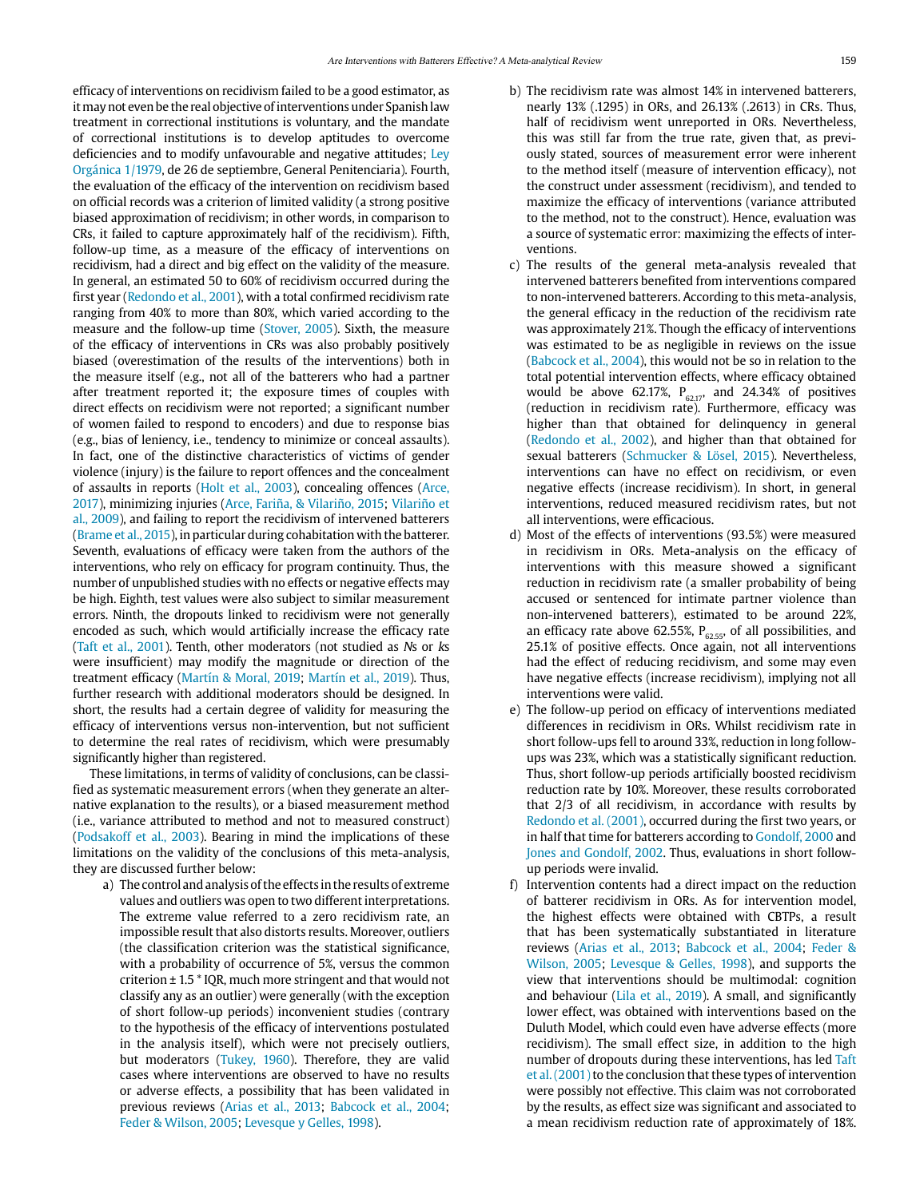efficacy of interventions on recidivism failed to be a good estimator, as it may not even be the real objective of interventions under Spanish law treatment in correctional institutions is voluntary, and the mandate of correctional institutions is to develop aptitudes to overcome deficiencies and to modify unfavourable and negative attitudes; Ley Orgánica 1/1979, de 26 de septiembre, General Penitenciaria). Fourth, the evaluation of the efficacy of the intervention on recidivism based on official records was a criterion of limited validity (a strong positive biased approximation of recidivism; in other words, in comparison to CRs, it failed to capture approximately half of the recidivism). Fifth, follow-up time, as a measure of the efficacy of interventions on recidivism, had a direct and big effect on the validity of the measure. In general, an estimated 50 to 60% of recidivism occurred during the first year (Redondo et al., 2001), with a total confirmed recidivism rate ranging from 40% to more than 80%, which varied according to the measure and the follow-up time (Stover, 2005). Sixth, the measure of the efficacy of interventions in CRs was also probably positively biased (overestimation of the results of the interventions) both in the measure itself (e.g., not all of the batterers who had a partner after treatment reported it; the exposure times of couples with direct effects on recidivism were not reported; a significant number of women failed to respond to encoders) and due to response bias (e.g., bias of leniency, i.e., tendency to minimize or conceal assaults). In fact, one of the distinctive characteristics of victims of gender violence (injury) is the failure to report offences and the concealment of assaults in reports (Holt et al., 2003), concealing offences (Arce, 2017), minimizing injuries (Arce, Fariña, & Vilariño, 2015; Vilariño et al., 2009), and failing to report the recidivism of intervened batterers (Brame et al., 2015), in particular during cohabitation with the batterer. Seventh, evaluations of efficacy were taken from the authors of the interventions, who rely on efficacy for program continuity. Thus, the number of unpublished studies with no effects or negative effects may be high. Eighth, test values were also subject to similar measurement errors. Ninth, the dropouts linked to recidivism were not generally encoded as such, which would artificially increase the efficacy rate (Taft et al., 2001). Tenth, other moderators (not studied as Ns or ks were insufficient) may modify the magnitude or direction of the treatment efficacy (Martín & Moral, 2019; Martín et al., 2019). Thus, further research with additional moderators should be designed. In short, the results had a certain degree of validity for measuring the efficacy of interventions versus non-intervention, but not sufficient to determine the real rates of recidivism, which were presumably significantly higher than registered.

These limitations, in terms of validity of conclusions, can be classified as systematic measurement errors (when they generate an alternative explanation to the results), or a biased measurement method (i.e., variance attributed to method and not to measured construct) (Podsakoff et al., 2003). Bearing in mind the implications of these limitations on the validity of the conclusions of this meta-analysis, they are discussed further below:

a) The control and analysis of the effects in the results of extreme values and outliers was open to two different interpretations. The extreme value referred to a zero recidivism rate, an impossible result that also distorts results. Moreover, outliers (the classification criterion was the statistical significance, with a probability of occurrence of 5%, versus the common criterion ± 1.5 \* IQR, much more stringent and that would not classify any as an outlier) were generally (with the exception of short follow-up periods) inconvenient studies (contrary to the hypothesis of the efficacy of interventions postulated in the analysis itself), which were not precisely outliers, but moderators (Tukey, 1960). Therefore, they are valid cases where interventions are observed to have no results or adverse effects, a possibility that has been validated in previous reviews (Arias et al., 2013; Babcock et al., 2004; Feder & Wilson, 2005; Levesque y Gelles, 1998).

- b) The recidivism rate was almost 14% in intervened batterers, nearly 13% (.1295) in ORs, and 26.13% (.2613) in CRs. Thus, half of recidivism went unreported in ORs. Nevertheless, this was still far from the true rate, given that, as previously stated, sources of measurement error were inherent to the method itself (measure of intervention efficacy), not the construct under assessment (recidivism), and tended to maximize the efficacy of interventions (variance attributed to the method, not to the construct). Hence, evaluation was a source of systematic error: maximizing the effects of interventions.
- c) The results of the general meta-analysis revealed that intervened batterers benefited from interventions compared to non-intervened batterers. According to this meta-analysis, the general efficacy in the reduction of the recidivism rate was approximately 21%. Though the efficacy of interventions was estimated to be as negligible in reviews on the issue (Babcock et al., 2004), this would not be so in relation to the total potential intervention effects, where efficacy obtained would be above 62.17%,  $P_{62.17}$ , and 24.34% of positives (reduction in recidivism rate). Furthermore, efficacy was higher than that obtained for delinquency in general (Redondo et al., 2002), and higher than that obtained for sexual batterers (Schmucker & Lösel, 2015). Nevertheless, interventions can have no effect on recidivism, or even negative effects (increase recidivism). In short, in general interventions, reduced measured recidivism rates, but not all interventions, were efficacious.
- d) Most of the effects of interventions (93.5%) were measured in recidivism in ORs. Meta-analysis on the efficacy of interventions with this measure showed a significant reduction in recidivism rate (a smaller probability of being accused or sentenced for intimate partner violence than non-intervened batterers), estimated to be around 22%, an efficacy rate above 62.55%,  $P_{62.55}$ , of all possibilities, and 25.1% of positive effects. Once again, not all interventions had the effect of reducing recidivism, and some may even have negative effects (increase recidivism), implying not all interventions were valid.
- e) The follow-up period on efficacy of interventions mediated differences in recidivism in ORs. Whilst recidivism rate in short follow-ups fell to around 33%, reduction in long followups was 23%, which was a statistically significant reduction. Thus, short follow-up periods artificially boosted recidivism reduction rate by 10%. Moreover, these results corroborated that 2/3 of all recidivism, in accordance with results by Redondo et al. (2001), occurred during the first two years, or in half that time for batterers according to Gondolf, 2000 and Jones and Gondolf, 2002. Thus, evaluations in short followup periods were invalid.
- f) Intervention contents had a direct impact on the reduction of batterer recidivism in ORs. As for intervention model, the highest effects were obtained with CBTPs, a result that has been systematically substantiated in literature reviews (Arias et al., 2013; Babcock et al., 2004; Feder & Wilson, 2005; Levesque & Gelles, 1998), and supports the view that interventions should be multimodal: cognition and behaviour (Lila et al., 2019). A small, and significantly lower effect, was obtained with interventions based on the Duluth Model, which could even have adverse effects (more recidivism). The small effect size, in addition to the high number of dropouts during these interventions, has led Taft et al. (2001) to the conclusion that these types of intervention were possibly not effective. This claim was not corroborated by the results, as effect size was significant and associated to a mean recidivism reduction rate of approximately of 18%.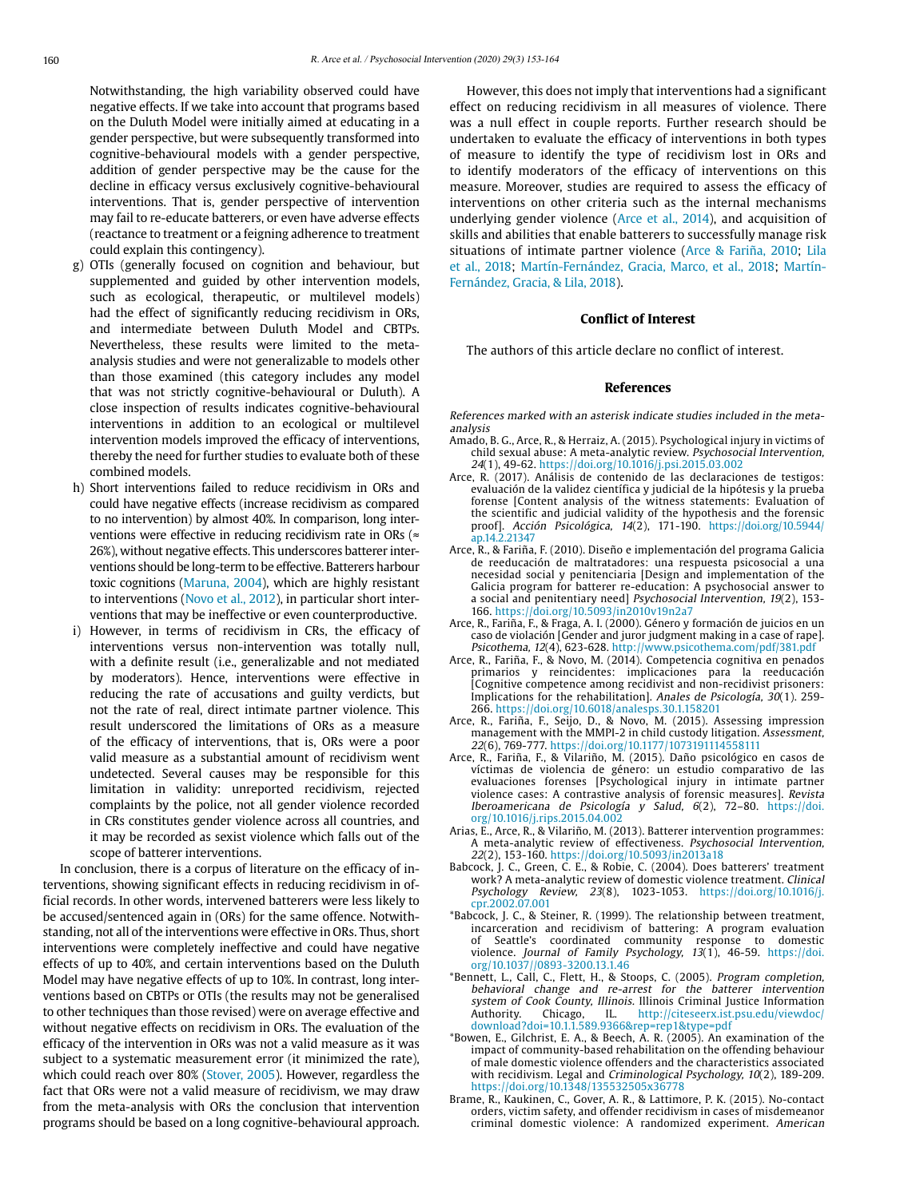Notwithstanding, the high variability observed could have negative effects. If we take into account that programs based on the Duluth Model were initially aimed at educating in a gender perspective, but were subsequently transformed into cognitive-behavioural models with a gender perspective, addition of gender perspective may be the cause for the decline in efficacy versus exclusively cognitive-behavioural interventions. That is, gender perspective of intervention may fail to re-educate batterers, or even have adverse effects (reactance to treatment or a feigning adherence to treatment could explain this contingency).

- g) OTIs (generally focused on cognition and behaviour, but supplemented and guided by other intervention models, such as ecological, therapeutic, or multilevel models) had the effect of significantly reducing recidivism in ORs, and intermediate between Duluth Model and CBTPs. Nevertheless, these results were limited to the metaanalysis studies and were not generalizable to models other than those examined (this category includes any model that was not strictly cognitive-behavioural or Duluth). A close inspection of results indicates cognitive-behavioural interventions in addition to an ecological or multilevel intervention models improved the efficacy of interventions, thereby the need for further studies to evaluate both of these combined models.
- h) Short interventions failed to reduce recidivism in ORs and could have negative effects (increase recidivism as compared to no intervention) by almost 40%. In comparison, long interventions were effective in reducing recidivism rate in ORs ( $\approx$ 26%), without negative effects. This underscores batterer interventions should be long-term to be effective. Batterers harbour toxic cognitions (Maruna, 2004), which are highly resistant to interventions (Novo et al., 2012), in particular short interventions that may be ineffective or even counterproductive.
- i) However, in terms of recidivism in CRs, the efficacy of interventions versus non-intervention was totally null, with a definite result (i.e., generalizable and not mediated by moderators). Hence, interventions were effective in reducing the rate of accusations and guilty verdicts, but not the rate of real, direct intimate partner violence. This result underscored the limitations of ORs as a measure of the efficacy of interventions, that is, ORs were a poor valid measure as a substantial amount of recidivism went undetected. Several causes may be responsible for this limitation in validity: unreported recidivism, rejected complaints by the police, not all gender violence recorded in CRs constitutes gender violence across all countries, and it may be recorded as sexist violence which falls out of the scope of batterer interventions.

In conclusion, there is a corpus of literature on the efficacy of interventions, showing significant effects in reducing recidivism in official records. In other words, intervened batterers were less likely to be accused/sentenced again in (ORs) for the same offence. Notwithstanding, not all of the interventions were effective in ORs. Thus, short interventions were completely ineffective and could have negative effects of up to 40%, and certain interventions based on the Duluth Model may have negative effects of up to 10%. In contrast, long interventions based on CBTPs or OTIs (the results may not be generalised to other techniques than those revised) were on average effective and without negative effects on recidivism in ORs. The evaluation of the efficacy of the intervention in ORs was not a valid measure as it was subject to a systematic measurement error (it minimized the rate), which could reach over 80% (Stover, 2005). However, regardless the fact that ORs were not a valid measure of recidivism, we may draw from the meta-analysis with ORs the conclusion that intervention programs should be based on a long cognitive-behavioural approach.

However, this does not imply that interventions had a significant effect on reducing recidivism in all measures of violence. There was a null effect in couple reports. Further research should be undertaken to evaluate the efficacy of interventions in both types of measure to identify the type of recidivism lost in ORs and to identify moderators of the efficacy of interventions on this measure. Moreover, studies are required to assess the efficacy of interventions on other criteria such as the internal mechanisms underlying gender violence (Arce et al., 2014), and acquisition of skills and abilities that enable batterers to successfully manage risk situations of intimate partner violence (Arce & Fariña, 2010; Lila et al., 2018; Martín-Fernández, Gracia, Marco, et al., 2018; Martín-Fernández, Gracia, & Lila, 2018).

### **Conflict of Interest**

The authors of this article declare no conflict of interest.

### **References**

References marked with an asterisk indicate studies included in the metaanalysis

- Amado, B. G., Arce, R., & Herraiz, A. (2015). Psychological injury in victims of child sexual abuse: A meta-analytic review. Psychosocial Intervention, 24(1), 49-62. https://doi.org/10.1016/j.psi.2015.03.002
- Arce, R. (2017). Análisis de contenido de las declaraciones de testigos: evaluación de la validez científica y judicial de la hipótesis y la prueba forense [Content analysis of the witness statements: Evaluation of the scientific and judicial validity of the hypothesis and the forensic proof]. Acción Psicológica, 14(2), 171-190. [https://doi.org/10.5944/](https://doi.org/10.5944/ap.14.2.21347) [ap.14.2.21347](https://doi.org/10.5944/ap.14.2.21347)
- Arce, R., & Fariña, F. (2010). Diseño e implementación del programa Galicia de reeducación de maltratadores: una respuesta psicosocial a una necesidad social y penitenciaria [Design and implementation of the Galicia program for batterer re-education: A psychosocial answer to a social and penitentiary need] Psychosocial Intervention, 19(2), 153- 166. https://doi.org/10.5093/in2010v19n2a7
- Arce, R., Fariña, F., & Fraga, A. I. (2000). Género y formación de juicios en un caso de violación [Gender and juror judgment making in a case of rape]. Psicothema, 12(4), 623-628. http://www.psicothema.com/pdf/381.pdf
- Arce, R., Fariña, F., & Novo, M. (2014). Competencia cognitiva en penados primarios y reincidentes: implicaciones para la reeducación [Cognitive competence among recidivist and non-recidivist prisoners: Implications for the rehabilitation]. Anales de Psicología, 30(1). 259- 266. https://doi.org/10.6018/analesps.30.1.158201
- Arce, R., Fariña, F., Seijo, D., & Novo, M. (2015). Assessing impression management with the MMPI-2 in child custody litigation. Assessment, 22(6), 769-777. https://doi.org/10.1177/1073191114558111
- Arce, R., Fariña, F., & Vilariño, M. (2015). Daño psicológico en casos de víctimas de violencia de género: un estudio comparativo de las evaluaciones forenses [Psychological injury in intimate partner violence cases: A contrastive analysis of forensic measures]. Revista Iberoamericana de Psicología y Salud, 6(2), 72–80. https://doi. org/10.1016/j.rips.2015.04.002
- Arias, E., Arce, R., & Vilariño, M. (2013). Batterer intervention programmes: A meta-analytic review of effectiveness. Psychosocial Intervention, 22(2), 153-160. https://doi.org/10.5093/in2013a18
- Babcock, J. C., Green, C. E., & Robie, C. (2004). Does batterers' treatment work? A meta-analytic review of domestic violence treatment. Clinical Psychology Review, 23(8), 1023-1053. https://doi.org/10.1016/j. cpr.2002.07.001
- \*Babcock, J. C., & Steiner, R. (1999). The relationship between treatment, incarceration and recidivism of battering: A program evaluation of Seattle's coordinated community response to domestic violence. Journal of Family Psychology, 13(1), 46-59. https://doi. org/10.1037//0893-3200.13.1.46
- \*Bennett, L., Call, C., Flett, H., & Stoops, C. (2005). Program completion, behavioral change and re-arrest for the batterer intervention system of Cook County, Illinois. Illinois Criminal Justice Information Authority. Chicago, IL. http://citeseerx.ist.psu.edu/viewdoc/ Authority. Chicago, IL. http://citeseerx.ist.psu.edu/viewdoc/ download?doi=10.1.1.589.9366&rep=rep1&type=pdf
- \*Bowen, E., Gilchrist, E. A., & Beech, A. R. (2005). An examination of the impact of community-based rehabilitation on the offending behaviour of male domestic violence offenders and the characteristics associated with recidivism. Legal and Criminological Psychology, 10(2), 189-209. https://doi.org/10.1348/135532505x36778
- Brame, R., Kaukinen, C., Gover, A. R., & Lattimore, P. K. (2015). No-contact orders, victim safety, and offender recidivism in cases of misdemeanor criminal domestic violence: A randomized experiment. American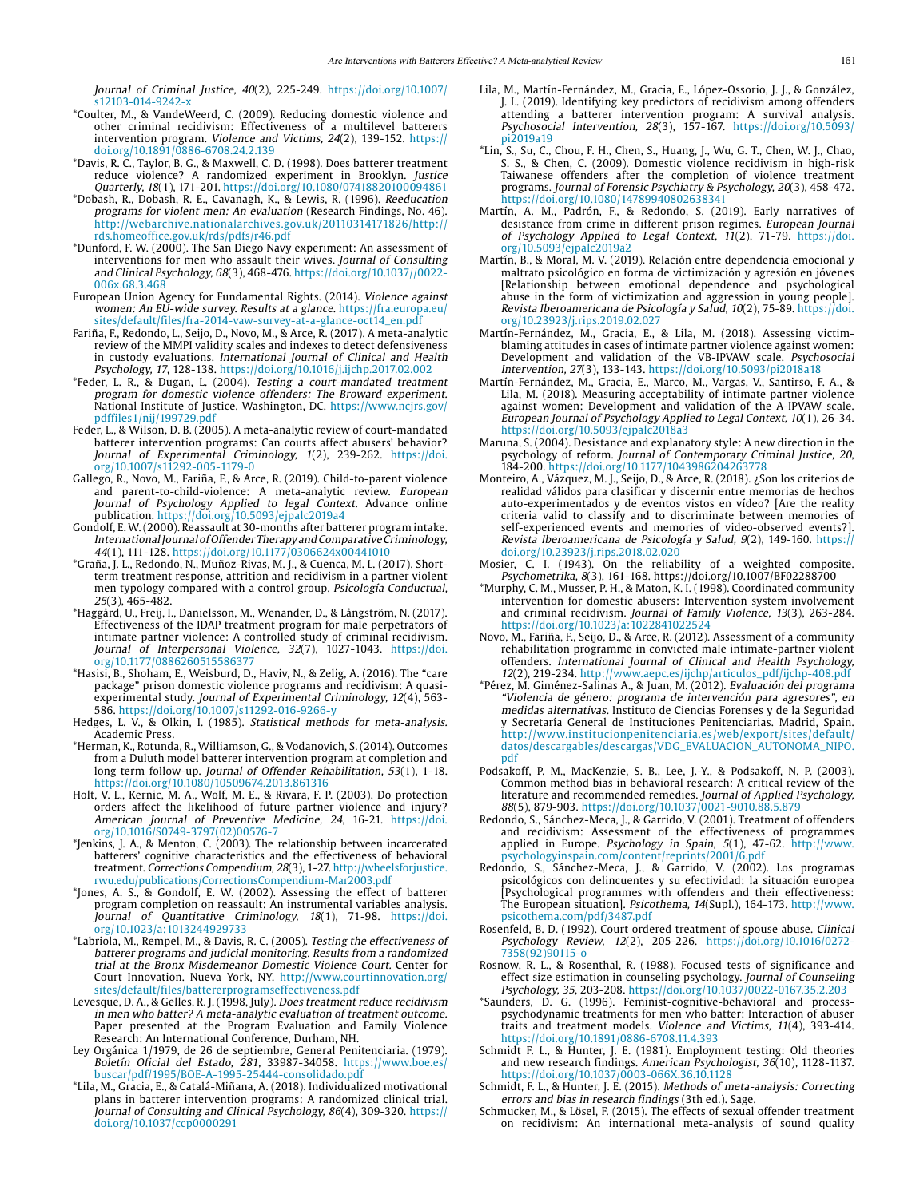Journal of Criminal Justice, 40(2), 225-249. https://doi.org/10.1007/ s12103-014-9242-

- \*Coulter, M., & VandeWeerd, C. (2009). Reducing domestic violence and other criminal recidivism: Effectiveness of a multilevel batterers intervention program. Violence and Victims, 24(2), 139-152. https:// doi.org/10.1891/0886-6708.24.2.139
- \*Davis, R. C., Taylor, B. G., & Maxwell, C. D. (1998). Does batterer treatment reduce violence? A randomized experiment in Brooklyn. Justice Quarterly, 18(1), 171-201. https://doi.org/10.1080/07418820100094861
- \*Dobash, R., Dobash, R. E., Cavanagh, K., & Lewis, R. (1996). Reeducation programs for violent men: An evaluation (Research Findings, No. 46). http://webarchive.nationalarchives.gov.uk/20110314171826/http:// rds.homeoffice.gov.uk/rds/pdfs/r46.pdf
- \*Dunford, F. W. (2000). The San Diego Navy experiment: An assessment of interventions for men who assault their wives. Journal of Consulting and Clinical Psychology, 68(3), 468-476. https://doi.org/10.1037//0022- 006x.68.3.468
- European Union Agency for Fundamental Rights. (2014). Violence against women: An EU-wide survey. Results at a glance. https://fra.europa.eu/ sites/default/files/fra-2014-vaw-survey-at-a-glance-oct14\_en.pdf
- Fariña, F., Redondo, L., Seijo, D., Novo, M., & Arce, R. (2017). A meta-analytic review of the MMPI validity scales and indexes to detect defensiveness in custody evaluations. International Journal of Clinical and Health Psychology, 17, 128-138. https://doi.org/10.1016/j.ijchp.2017.02.002
- \*Feder, L. R., & Dugan, L. (2004). Testing a court-mandated treatment program for domestic violence offenders: The Broward experiment. National Institute of Justice. Washington, DC. https://www.ncjrs.gov/ pdffiles1/nij/199729.pdf
- Feder, L., & Wilson, D. B. (2005). A meta-analytic review of court-mandated batterer intervention programs: Can courts affect abusers' behavior? Journal of Experimental Criminology, 1(2), 239-262. https://doi. org/10.1007/s11292-005-1179-0
- Gallego, R., Novo, M., Fariña, F., & Arce, R. (2019). Child-to-parent violence and parent-to-child-violence: A meta-analytic review. European Journal of Psychology Applied to legal Context. Advance online publication. https://doi.org/10.5093/ejpalc2019a4
- Gondolf, E. W. (2000). Reassault at 30-months after batterer program intake. International Journal of Offender Therapy and Comparative Criminology, 44(1), 111-128. https://doi.org/10.1177/0306624x00441010
- \*Graña, J. L., Redondo, N., Muñoz-Rivas, M. J., & Cuenca, M. L. (2017). Shortterm treatment response, attrition and recidivism in a partner violent men typology compared with a control group. Psicología Conductual, 25(3), 465-482.
- \*Haggård, U., Freij, I., Danielsson, M., Wenander, D., & Långström, N. (2017). Effectiveness of the IDAP treatment program for male perpetrators of intimate partner violence: A controlled study of criminal recidivism. Journal of Interpersonal Violence, 32(7), 1027-1043. https://doi. org/10.1177/0886260515586377
- \*Hasisi, B., Shoham, E., Weisburd, D., Haviv, N., & Zelig, A. (2016). The "care package" prison domestic violence programs and recidivism: A quasiexperimental study. Journal of Experimental Criminology, 12(4), 563- 586. https://doi.org/10.1007/s11292-016-9266-y
- Hedges, L. V., & Olkin, I. (1985). Statistical methods for meta-analysis. Academic Press.
- \*Herman, K., Rotunda, R., Williamson, G., & Vodanovich, S. (2014). Outcomes from a Duluth model batterer intervention program at completion and long term follow-up. Journal of Offender Rehabilitation, 53(1), 1-18. https://doi.org/10.1080/10509674.2013.861316
- Holt, V. L., Kernic, M. A., Wolf, M. E., & Rivara, F. P. (2003). Do protection orders affect the likelihood of future partner violence and injury? American Journal of Preventive Medicine, 24, 16-21. https://doi. org/10.1016/S0749-3797(02)00576-7
- \*Jenkins, J. A., & Menton, C. (2003). The relationship between incarcerated batterers' cognitive characteristics and the effectiveness of behavioral treatment. Corrections Compendium, 28(3), 1-27. http://wheelsforjustice. rwu.edu/publications/CorrectionsCompendium-Mar2003.pdf
- \*Jones, A. S., & Gondolf, E. W. (2002). Assessing the effect of batterer program completion on reassault: An instrumental variables analysis. Journal of Quantitative Criminology, 18(1), 71-98. https://doi. org/10.1023/a:1013244929733
- \*Labriola, M., Rempel, M., & Davis, R. C. (2005). Testing the effectiveness of batterer programs and judicial monitoring. Results from a randomized trial at the Bronx Misdemeanor Domestic Violence Court. Center for Court Innovation. Nueva York, NY. http://www.courtinnovation.org/ sites/default/files/battererprogramseffectiveness.pdf
- Levesque, D. A., & Gelles, R. J. (1998, July). Does treatment reduce recidivism in men who batter? A meta-analytic evaluation of treatment outcome. Paper presented at the Program Evaluation and Family Violence Research: An International Conference, Durham, NH.
- Ley Orgánica 1/1979, de 26 de septiembre, General Penitenciaria. (1979). Boletín Oficial del Estado, 281, 33987-34058. https://www.boe.es/ buscar/pdf/1995/BOE-A-1995-25444-consolidado.pdf
- \*Lila, M., Gracia, E., & Catalá-Miñana, A. (2018). Individualized motivational plans in batterer intervention programs: A randomized clinical trial. Journal of Consulting and Clinical Psychology, 86(4), 309-320. https:// doi.org/10.1037/ccp0000291
- Lila, M., Martín-Fernández, M., Gracia, E., López-Ossorio, J. J., & González, J. L. (2019). Identifying key predictors of recidivism among offenders attending a batterer intervention program: A survival analysis. Psychosocial Intervention, 28(3), 157-167. https://doi.org/10.5093/ pi2019a19
- \*Lin, S., Su, C., Chou, F. H., Chen, S., Huang, J., Wu, G. T., Chen, W. J., Chao, S. S., & Chen, C. (2009). Domestic violence recidivism in high-risk Taiwanese offenders after the completion of violence treatment programs. Journal of Forensic Psychiatry & Psychology, 20(3), 458-472. https://doi.org/10.1080/14789940802638341
- Martín, A. M., Padrón, F., & Redondo, S. (2019). Early narratives of desistance from crime in different prison regimes. European Journal of Psychology Applied to Legal Context, 11(2), 71-79. https://doi. org/10.5093/ejpalc2019a2
- Martín, B., & Moral, M. V. (2019). Relación entre dependencia emocional y maltrato psicológico en forma de victimización y agresión en jóvenes [Relationship between emotional dependence and psychological abuse in the form of victimization and aggression in young people]. Revista Iberoamericana de Psicología y Salud, 10(2), 75-89. https://doi. org/10.23923/j.rips.2019.02.027
- Martín-Fernández, M., Gracia, E., & Lila, M. (2018). Assessing victimblaming attitudes in cases of intimate partner violence against women: Development and validation of the VB-IPVAW scale. Psychosocial Intervention, 27(3), 133-143. https://doi.org/10.5093/pi2018a18
- Martín-Fernández, M., Gracia, E., Marco, M., Vargas, V., Santirso, F. A., & Lila, M. (2018). Measuring acceptability of intimate partner violence against women: Development and validation of the A-IPVAW scale. European Journal of Psychology Applied to Legal Context, 10(1), 26-34. https://doi.org/10.5093/ejpalc2018a3
- Maruna, S. (2004). Desistance and explanatory style: A new direction in the psychology of reform. Journal of Contemporary Criminal Justice, 20, 184-200. https://doi.org/10.1177/1043986204263778
- Monteiro, A., Vázquez, M. J., Seijo, D., & Arce, R. (2018). ¿Son los criterios de realidad válidos para clasificar y discernir entre memorias de hechos auto-experimentados y de eventos vistos en vídeo? [Are the reality criteria valid to classify and to discriminate between memories of self-experienced events and memories of video-observed events?]. Revista Iberoamericana de Psicología y Salud, 9(2), 149-160. https:// doi.org/10.23923/j.rips.2018.02.020
- Mosier, C. I. (1943). On the reliability of a weighted composite. Psychometrika, 8(3), 161-168. https://doi.org/10.1007/BF02288700
- \*Murphy, C. M., Musser, P. H., & Maton, K. I. (1998). Coordinated community intervention for domestic abusers: Intervention system involvement and criminal recidivism. Journal of Family Violence, 13(3), 263-284. https://doi.org/10.1023/a:1022841022524
- Novo, M., Fariña, F., Seijo, D., & Arce, R. (2012). Assessment of a community rehabilitation programme in convicted male intimate-partner violent offenders. International Journal of Clinical and Health Psychology, 12(2), 219-234. http://www.aepc.es/ijchp/articulos\_pdf/ijchp-408.pdf
- \*Pérez, M. Giménez-Salinas A., & Juan, M. (2012). Evaluación del programa "Violencia de género: programa de intervención para agresores", en medidas alternativas. Instituto de Ciencias Forenses y de la Seguridad y Secretaría General de Instituciones Penitenciarias. Madrid, Spain. http://www.institucionpenitenciaria.es/web/export/sites/default/ datos/descargables/descargas/VDG\_EVALUACION\_AUTONOMA\_NIPO. pdf
- Podsakoff, P. M., MacKenzie, S. B., Lee, J.-Y., & Podsakoff, N. P. (2003). Common method bias in behavioral research: A critical review of the literature and recommended remedies. Journal of Applied Psychology, 88(5), 879-903. https://doi.org/10.1037/0021-9010.88.5.879
- Redondo, S., Sánchez-Meca, J., & Garrido, V. (2001). Treatment of offenders and recidivism: Assessment of the effectiveness of programmes applied in Europe. Psychology in Spain, 5(1), 47-62. http://www. psychologyinspain.com/content/reprints/2001/6.pdf
- Redondo, S., Sánchez-Meca, J., & Garrido, V. (2002). Los programas psicológicos con delincuentes y su efectividad: la situación europea [Psychological programmes with offenders and their effectiveness: The European situation]. Psicothema, 14(Supl.), 164-173. http://www. psicothema.com/pdf/3487.pdf
- Rosenfeld, B. D. (1992). Court ordered treatment of spouse abuse. Clinical Psychology Review, 12(2), 205-226. https://doi.org/10.1016/0272- 7358(92)90115-o
- Rosnow, R. L., & Rosenthal, R. (1988). Focused tests of significance and effect size estimation in counseling psychology. Journal of Counseling Psychology, 35, 203-208. https://doi.org/10.1037/0022-0167.35.2.203
- \*Saunders, D. G. (1996). Feminist-cognitive-behavioral and processpsychodynamic treatments for men who batter: Interaction of abuser traits and treatment models. Violence and Victims, 11(4), 393-414. https://doi.org/10.1891/0886-6708.11.4.393
- Schmidt F. L., & Hunter, J. E. (1981). Employment testing: Old theories and new research findings. American Psychologist, 36(10), 1128-1137. https://doi.org/10.1037/0003-066X.36.10.1128
- Schmidt, F. L., & Hunter, J. E. (2015). Methods of meta-analysis: Correcting errors and bias in research findings (3th ed.). Sage.
- Schmucker, M., & Lösel, F. (2015). The effects of sexual offender treatment on recidivism: An international meta-analysis of sound quality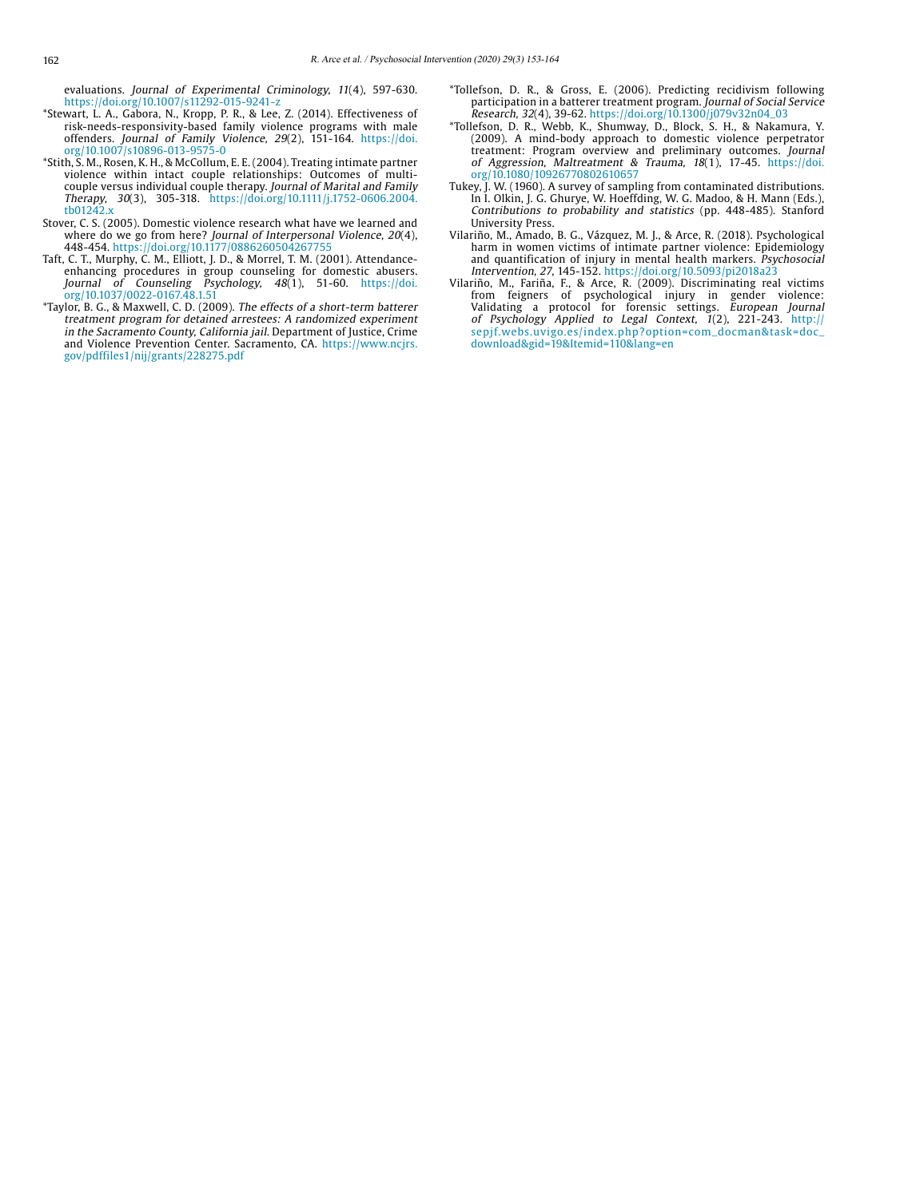evaluations. Journal of Experimental Criminology, 11(4), 597-630. https://doi.org/10.1007/s11292-015-9241-z

- \*Stewart, L. A., Gabora, N., Kropp, P. R., & Lee, Z. (2014). Effectiveness of risk-needs-responsivity-based family violence programs with male offenders. Journal of Family Violence, 29(2), 151-164. https://doi. org/10.1007/s10896-013-9575-0
- \*Stith, S. M., Rosen, K. H., & McCollum, E. E. (2004). Treating intimate partner violence within intact couple relationships: Outcomes of multicouple versus individual couple therapy. Journal of Marital and Family Therapy, 30(3), 305-318. https://doi.org/10.1111/j.1752-0606.2004. tb01242.x
- Stover, C. S. (2005). Domestic violence research what have we learned and where do we go from here? Journal of Interpersonal Violence, 20(4), 448-454. https://doi.org/10.1177/0886260504267755
- Taft, C. T., Murphy, C. M., Elliott, J. D., & Morrel, T. M. (2001). Attendanceenhancing procedures in group counseling for domestic abusers. Journal of Counseling Psychology, 48(1), 51-60. https://doi. org/10.1037/0022-0167.48.1.51
- \*Taylor, B. G., & Maxwell, C. D. (2009). The effects of a short-term batterer treatment program for detained arrestees: A randomized experiment in the Sacramento County, California jail. Department of Justice, Crime and Violence Prevention Center. Sacramento, CA. https://www.ncjrs. gov/pdffiles1/nij/grants/228275.pdf
- \*Tollefson, D. R., & Gross, E. (2006). Predicting recidivism following participation in a batterer treatment program. Journal of Social Service Research, 32(4), 39-62. https://doi.org/10.1300/j079v32n04\_03
- \*Tollefson, D. R., Webb, K., Shumway, D., Block, S. H., & Nakamura, Y. (2009). A mind-body approach to domestic violence perpetrator treatment: Program overview and preliminary outcomes. Journal of Aggression, Maltreatment & Trauma, 18(1), 17-45. https://doi. org/10.1080/10926770802610657
- Tukey, J. W. (1960). A survey of sampling from contaminated distributions. In I. Olkin, J. G. Ghurye, W. Hoeffding, W. G. Madoo, & H. Mann (Eds.), Contributions to probability and statistics (pp. 448-485). Stanford University Press.
- Vilariño, M., Amado, B. G., Vázquez, M. J., & Arce, R. (2018). Psychological harm in women victims of intimate partner violence: Epidemiology and quantification of injury in mental health markers. Psychosocial Intervention, 27, 145-152. https://doi.org/10.5093/pi2018a23
- Vilariño, M., Fariña, F., & Arce, R. (2009). Discriminating real victims from feigners of psychological injury in gender violence: Validating a protocol for forensic settings. European Journal of Psychology Applied to Legal Context, 1(2), 221-243. [http://](http://sepjf.webs.uvigo.es/index.php?option=com_docman&task=doc_download&gid=19&Itemid=110&lang=en) [sepjf.webs.uvigo.es/index.php?option=com\\_docman&task=doc\\_](http://sepjf.webs.uvigo.es/index.php?option=com_docman&task=doc_download&gid=19&Itemid=110&lang=en) [download&gid=19&Itemid=110&lang=en](http://sepjf.webs.uvigo.es/index.php?option=com_docman&task=doc_download&gid=19&Itemid=110&lang=en)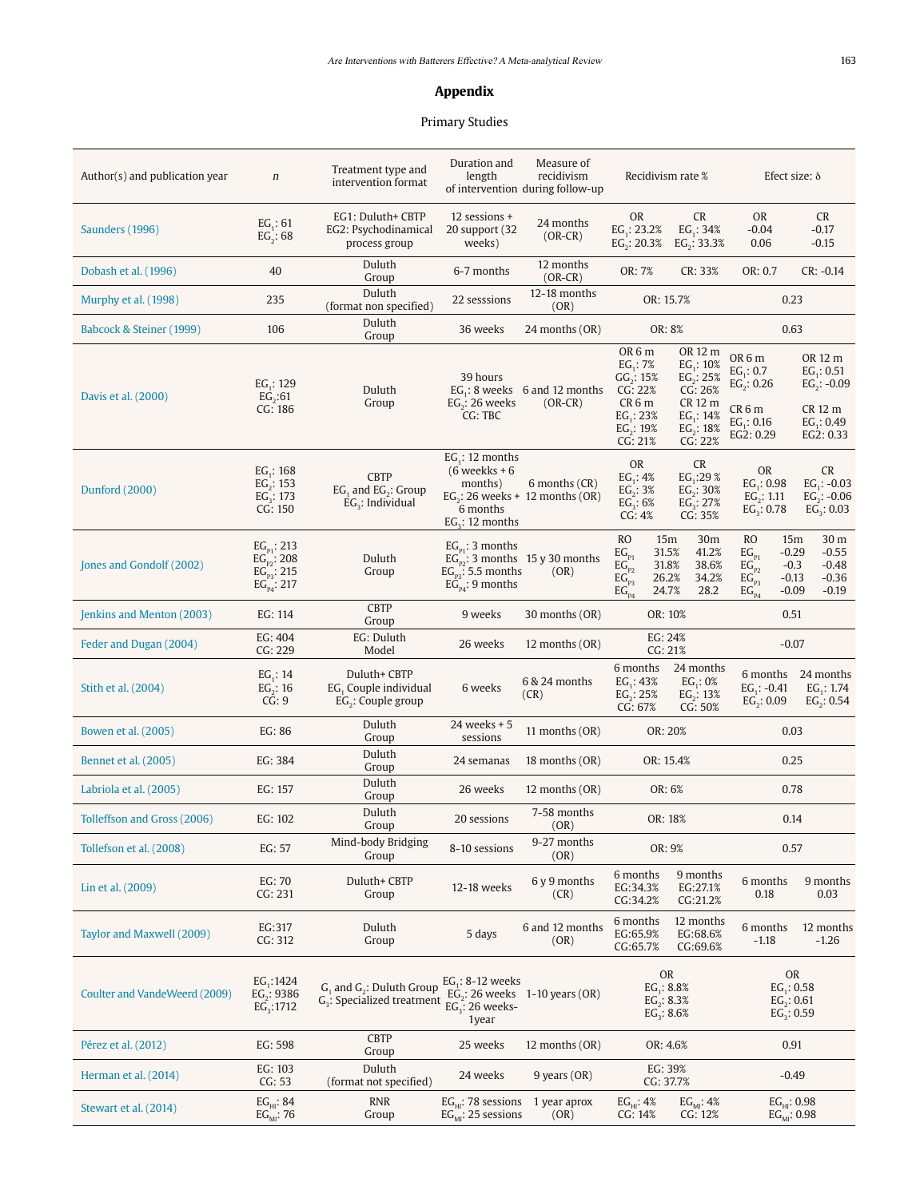## **Appendix**

# Primary Studies

| Author(s) and publication year | $\boldsymbol{n}$                                                          | Treatment type and<br>intervention format                               | Duration and<br>length                                                                               | Measure of<br>recidivism<br>of intervention during follow-up | Recidivism rate %                                                                                                        |                                                                                                         | Efect size: $\delta$                                                                                                           |                                                                                    |  |
|--------------------------------|---------------------------------------------------------------------------|-------------------------------------------------------------------------|------------------------------------------------------------------------------------------------------|--------------------------------------------------------------|--------------------------------------------------------------------------------------------------------------------------|---------------------------------------------------------------------------------------------------------|--------------------------------------------------------------------------------------------------------------------------------|------------------------------------------------------------------------------------|--|
| Saunders (1996)                | $EG_1: 61$<br>$EG_2: 68$                                                  | EG1: Duluth+ CBTP<br>EG2: Psychodinamical<br>process group              | 12 sessions +<br>20 support (32)<br>weeks)                                                           | 24 months<br>$(OR-CR)$                                       | <b>OR</b><br>EG.: 23.2%<br>EG <sub>2</sub> : 20.3%                                                                       | CR<br>$EG_1: 34%$<br>$EG_2: 33.3%$                                                                      | <b>OR</b><br>$-0.04$<br>0.06                                                                                                   | CR<br>$-0.17$<br>$-0.15$                                                           |  |
| Dobash et al. (1996)           | 40                                                                        | Duluth<br>Group                                                         | 6-7 months                                                                                           | 12 months<br>$(OR-CR)$                                       | OR: 7%                                                                                                                   | CR: 33%                                                                                                 | OR: 0.7                                                                                                                        | $CR: -0.14$                                                                        |  |
| Murphy et al. (1998)           | 235                                                                       | Duluth<br>(format non specified)                                        | 22 sesssions                                                                                         | 12-18 months<br>(OR)                                         |                                                                                                                          | OR: 15.7%                                                                                               |                                                                                                                                | 0.23                                                                               |  |
| Babcock & Steiner (1999)       | 106                                                                       | Duluth<br>Group                                                         | 36 weeks                                                                                             | 24 months (OR)                                               | OR: 8%                                                                                                                   |                                                                                                         | 0.63                                                                                                                           |                                                                                    |  |
| Davis et al. (2000)            | $EG_1$ : 129<br>EG <sub>2</sub> :61<br>CG: 186                            | Duluth<br>Group                                                         | 39 hours<br>EG <sub>2</sub> : 26 weeks<br>CG: TBC                                                    | $EG_i$ : 8 weeks 6 and 12 months<br>$(OR-CR)$                | OR <sub>6</sub> m<br>$EG_1$ : 7%<br>$GG_2: 15%$<br>CG: 22%<br>CR <sub>6</sub> m<br>$EG_1: 23%$<br>$EG_2: 19%$<br>CG: 21% | OR 12 m<br>$EG_1: 10\%$<br>$EG_2: 25%$<br>CG: 26%<br>CR 12 m<br>$EG_1$ : 14%<br>$EG_2$ : 18%<br>CG: 22% | OR <sub>6</sub> m<br>$EG_1: 0.7$<br>$EG_2: 0.26$<br>CR <sub>6</sub> m<br>$EG_1$ : 0.16<br>EG2: 0.29                            | OR 12 m<br>$EG_1$ : 0.51<br>$EG_2: -0.09$<br>CR 12 m<br>$EG_1$ : 0.49<br>EG2: 0.33 |  |
| Dunford (2000)                 | EG <sub>1</sub> : 168<br>$EG_2$ : 153<br>$EG_3$ : 173<br>CG: 150          | <b>CBTP</b><br>$EG_1$ and $EG_2$ : Group<br>$EG3$ : Individual          | EG <sub>1</sub> : 12 months<br>$(6$ weekks + 6<br>months)<br>6 months<br>EG <sub>2</sub> : 12 months | 6 months (CR)<br>EG <sub>2</sub> : 26 weeks + 12 months (OR) | <b>OR</b><br>$EG_1: 4%$<br>$EG_2: 3%$<br>$EG_3$ : 6%<br>CG: 4%                                                           | <b>CR</b><br>EG <sub>1</sub> :29%<br>$EG_2: 30%$<br>$EG_3$ : 27%<br>CG: 35%                             | <b>OR</b><br>EG <sub>1</sub> : 0.98<br>$EG$ : 1.11<br>$EG_3: 0.78$                                                             | CR<br>$EG_1$ : -0.03<br>$EG_2$ : $-0.06$<br>$EG_3: 0.03$                           |  |
| Jones and Gondolf (2002)       | $EG_{p1}$ : 213<br>$EG_{p2}$ : 208<br>$EG_{p_3}$ : 215<br>$EG_{p4}$ : 217 | Duluth<br>Group                                                         | $EG_{p1}$ : 3 months<br>$EG_{pq}$ : 5.5 months<br>$EG_{p4}$ : 9 months                               | $EG_{p2}$ : 3 months 15 y 30 months<br>(OR)                  | <b>RO</b><br>15m<br>$EG_{p_1}$<br>31.5%<br>31.8%<br>$EG_{p_2}$<br>$EG_{P3}^-$<br>26.2%<br>24.7%<br>$EG_{P4}$             | 30 <sub>m</sub><br>41.2%<br>38.6%<br>34.2%<br>28.2                                                      | <b>RO</b><br>15 <sub>m</sub><br>$EG_{p_1}$<br>$-0.29$<br>$EG_{p_2}$<br>$-0.3$<br>$EG_{p_3}$<br>$-0.13$<br>$EG_{p4}$<br>$-0.09$ | 30 m<br>$-0.55$<br>$-0.48$<br>$-0.36$<br>$-0.19$                                   |  |
| Jenkins and Menton (2003)      | EG: 114                                                                   | <b>CBTP</b><br>Group                                                    | 9 weeks                                                                                              | 30 months (OR)                                               | OR: 10%                                                                                                                  |                                                                                                         | 0.51                                                                                                                           |                                                                                    |  |
| Feder and Dugan (2004)         | EG: 404<br>CG: 229                                                        | EG: Duluth<br>Model                                                     | 26 weeks                                                                                             | 12 months (OR)                                               | EG: 24%<br>CG: 21%                                                                                                       |                                                                                                         | $-0.07$                                                                                                                        |                                                                                    |  |
| Stith et al. (2004)            | $EG_1: 14$<br>$EG_2: 16$<br>CG: 9                                         | Duluth+ CBTP<br>EG, Couple individual<br>EG <sub>2</sub> : Couple group | 6 weeks                                                                                              | 6 & 24 months<br>(CR)                                        | 6 months<br>$EG_1: 43%$<br>$EG_2: 25%$<br>CG: 67%                                                                        | 24 months<br>$EG_1: 0%$<br>$EG_2: 13%$<br>CG: 50%                                                       | 6 months<br>EG <sub>1</sub> : $-0.41$<br>$EG_2$ : 0.09                                                                         | 24 months<br>EG <sub>1</sub> : $1.74$<br>$EG_2$ : 0.54                             |  |
| Bowen et al. (2005)            | EG: 86                                                                    | Duluth<br>Group                                                         | 24 weeks + 5<br>sessions                                                                             | 11 months (OR)                                               | OR: 20%                                                                                                                  |                                                                                                         | 0.03                                                                                                                           |                                                                                    |  |
| Bennet et al. (2005)           | EG: 384                                                                   | Duluth<br>Group                                                         | 24 semanas                                                                                           | 18 months (OR)                                               | OR: 15.4%<br>0.25                                                                                                        |                                                                                                         |                                                                                                                                |                                                                                    |  |
| Labriola et al. (2005)         | EG: 157                                                                   | Duluth<br>Group                                                         | 26 weeks                                                                                             | 12 months (OR)                                               | OR: 6%                                                                                                                   |                                                                                                         | 0.78                                                                                                                           |                                                                                    |  |
| Tolleffson and Gross (2006)    | EG: 102                                                                   | Duluth<br>Group                                                         | 20 sessions                                                                                          | 7-58 months<br>(OR)                                          | OR: 18%                                                                                                                  |                                                                                                         | 0.14                                                                                                                           |                                                                                    |  |
| Tollefson et al. (2008)        | EG: 57                                                                    | Mind-body Bridging<br>Group                                             | 8-10 sessions                                                                                        | 9-27 months<br>(OR)                                          | OR: 9%                                                                                                                   |                                                                                                         | 0.57                                                                                                                           |                                                                                    |  |
| Lin et al. (2009)              | EG: 70<br>CG: 231                                                         | Duluth+ CBTP<br>Group                                                   | 12-18 weeks                                                                                          | 6 y 9 months<br>(CR)                                         | 6 months<br>EG:34.3%<br>CG:34.2%                                                                                         | 9 months<br>EG:27.1%<br>CG:21.2%                                                                        | 6 months<br>0.18                                                                                                               | 9 months<br>0.03                                                                   |  |
| Taylor and Maxwell (2009)      | EG:317<br>CG: 312                                                         | Duluth<br>Group                                                         | 5 days                                                                                               | 6 and 12 months<br>(OR)                                      | 6 months<br>EG:65.9%<br>CG:65.7%                                                                                         | 12 months<br>EG:68.6%<br>CG:69.6%                                                                       | 6 months<br>$-1.18$                                                                                                            | 12 months<br>$-1.26$                                                               |  |
| Coulter and VandeWeerd (2009)  | $EG_1:1424$<br>$EG_2$ : 9386<br>$EG_3:1712$                               | $G_1$ and $G_2$ : Duluth Group<br>$G3$ : Specialized treatment          | $EG_1$ : 8-12 weeks<br>$EG3: 26$ weeks-<br>1year                                                     | $EG_2$ : 26 weeks 1-10 years (OR)                            | <b>OR</b><br>$EG_1$ : 8.8%<br>$EG_2$ : 8.3%<br>$EG_3$ : 8.6%                                                             |                                                                                                         | <b>OR</b><br>$EG_1$ : 0.58<br>$EG_2: 0.61$<br>$EG_3: 0.59$                                                                     |                                                                                    |  |
| Pérez et al. (2012)            | EG: 598                                                                   | <b>CBTP</b><br>Group                                                    | 25 weeks                                                                                             | 12 months (OR)                                               | OR: 4.6%                                                                                                                 |                                                                                                         | 0.91                                                                                                                           |                                                                                    |  |
| Herman et al. (2014)           | EG: 103<br>CG: 53                                                         | Duluth<br>(format not specified)                                        | 24 weeks                                                                                             | $9$ years $(OR)$                                             | EG: 39%<br>CG: 37.7%                                                                                                     |                                                                                                         | $-0.49$                                                                                                                        |                                                                                    |  |
| Stewart et al. (2014)          | $EG_{HI}: 84EG_{MI}: 76$                                                  | <b>RNR</b><br>Group                                                     | $EGHI: 78$ sessions<br>$EG_{MI}$ : 25 sessions                                                       | 1 year aprox<br>(OR)                                         | EG <sub>HI</sub> : 4%<br>CG: 14%                                                                                         | $EG_{MI}$ : 4%<br>CG: 12%                                                                               | $\text{EG}_{\text{HI}}$ : 0.98 $\text{EG}_{\text{MI}}$ : 0.98                                                                  |                                                                                    |  |